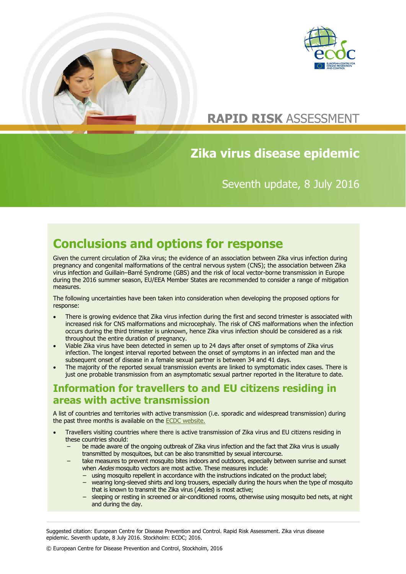



# **RAPID RISK** ASSESSMENT

# **Zika virus disease epidemic**

Seventh update, 8 July 2016

# **Conclusions and options for response**

Given the current circulation of Zika virus; the evidence of an association between Zika virus infection during pregnancy and congenital malformations of the central nervous system (CNS); the association between Zika virus infection and Guillain–Barré Syndrome (GBS) and the risk of local vector-borne transmission in Europe during the 2016 summer season, EU/EEA Member States are recommended to consider a range of mitigation measures.

The following uncertainties have been taken into consideration when developing the proposed options for response:

- There is growing evidence that Zika virus infection during the first and second trimester is associated with increased risk for CNS malformations and microcephaly. The risk of CNS malformations when the infection occurs during the third trimester is unknown, hence Zika virus infection should be considered as a risk throughout the entire duration of pregnancy.
- Viable Zika virus have been detected in semen up to 24 days after onset of symptoms of Zika virus infection. The longest interval reported between the onset of symptoms in an infected man and the subsequent onset of disease in a female sexual partner is between 34 and 41 days.
- The majority of the reported sexual transmission events are linked to symptomatic index cases. There is just one probable transmission from an asymptomatic sexual partner reported in the literature to date.

## **Information for travellers to and EU citizens residing in areas with active transmission**

A list of countries and territories with active transmission (i.e. sporadic and widespread transmission) during the past three months is available on the [ECDC website.](http://www.ecdc.europa.eu/en/healthtopics/zika_virus_infection/zika-outbreak/Pages/Zika-countries-with-transmission.aspx)

- Travellers visiting countries where there is active transmission of Zika virus and EU citizens residing in these countries should:
	- be made aware of the ongoing outbreak of Zika virus infection and the fact that Zika virus is usually transmitted by mosquitoes, but can be also transmitted by sexual intercourse.
	- − take measures to prevent mosquito bites indoors and outdoors, especially between sunrise and sunset when *Aedes* mosquito vectors are most active. These measures include:
		- − using mosquito repellent in accordance with the instructions indicated on the product label;
			- − wearing long-sleeved shirts and long trousers, especially during the hours when the type of mosquito that is known to transmit the Zika virus (Aedes) is most active;
			- − sleeping or resting in screened or air-conditioned rooms, otherwise using mosquito bed nets, at night and during the day.

Suggested citation: European Centre for Disease Prevention and Control. Rapid Risk Assessment. Zika virus disease epidemic. Seventh update, 8 July 2016. Stockholm: ECDC; 2016.

© European Centre for Disease Prevention and Control, Stockholm, 2016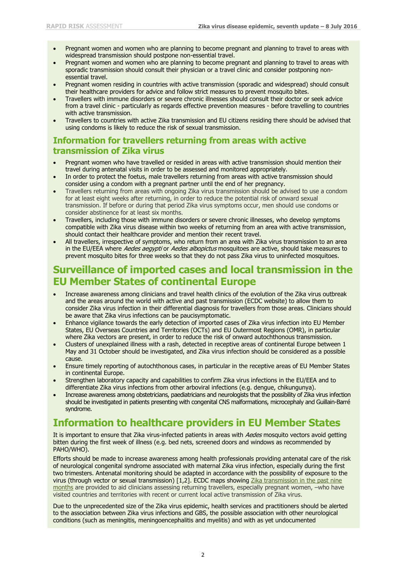- Pregnant women and women who are planning to become pregnant and planning to travel to areas with widespread transmission should postpone non-essential travel.
- Pregnant women and women who are planning to become pregnant and planning to travel to areas with sporadic transmission should consult their physician or a travel clinic and consider postponing nonessential travel.
- Pregnant women residing in countries with active transmission (sporadic and widespread) should consult their healthcare providers for advice and follow strict measures to prevent mosquito bites.
- Travellers with immune disorders or severe chronic illnesses should consult their doctor or seek advice from a travel clinic - particularly as regards effective prevention measures - before travelling to countries with active transmission.
- Travellers to countries with active Zika transmission and EU citizens residing there should be advised that using condoms is likely to reduce the risk of sexual transmission.

#### **Information for travellers returning from areas with active transmission of Zika virus**

- Pregnant women who have travelled or resided in areas with active transmission should mention their travel during antenatal visits in order to be assessed and monitored appropriately.
- In order to protect the foetus, male travellers returning from areas with active transmission should consider using a condom with a pregnant partner until the end of her pregnancy.
- Travellers returning from areas with ongoing Zika virus transmission should be advised to use a condom for at least eight weeks after returning, in order to reduce the potential risk of onward sexual transmission. If before or during that period Zika virus symptoms occur, men should use condoms or consider abstinence for at least six months.
- Travellers, including those with immune disorders or severe chronic illnesses, who develop symptoms compatible with Zika virus disease within two weeks of returning from an area with active transmission, should contact their healthcare provider and mention their recent travel.
- All travellers, irrespective of symptoms, who return from an area with Zika virus transmission to an area in the EU/EEA where Aedes aegypti or Aedes albopictus mosquitoes are active, should take measures to prevent mosquito bites for three weeks so that they do not pass Zika virus to uninfected mosquitoes.

### **Surveillance of imported cases and local transmission in the EU Member States of continental Europe**

- Increase awareness among clinicians and travel health clinics of the evolution of the Zika virus outbreak and the areas around the world with active and past transmission [\(ECDC website\)](http://www.ecdc.europa.eu/en/healthtopics/zika_virus_infection/zika-outbreak/Pages/Zika-countries-with-transmission.aspx) to allow them to consider Zika virus infection in their differential diagnosis for travellers from those areas. Clinicians should be aware that Zika virus infections can be paucisymptomatic.
- Enhance vigilance towards the early detection of imported cases of Zika virus infection into EU Member States, EU Overseas Countries and Territories (OCTs) and EU Outermost Regions (OMR), in particular where Zika vectors are present, in order to reduce the risk of onward autochthonous transmission.
- Clusters of unexplained illness with a rash, detected in receptive areas of continental Europe between 1 May and 31 October should be investigated, and Zika virus infection should be considered as a possible cause.
- Ensure timely reporting of autochthonous cases, in particular in the receptive areas of EU Member States in continental Europe.
- Strengthen laboratory capacity and capabilities to confirm Zika virus infections in the EU/EEA and to differentiate Zika virus infections from other arboviral infections (e.g. dengue, chikungunya).
- Increase awareness among obstetricians, paediatricians and neurologists that the possibility of Zika virus infection should be investigated in patients presenting with congenital CNS malformations, microcephaly and Guillain-Barré syndrome.

## **Information to healthcare providers in EU Member States**

It is important to ensure that Zika virus-infected patients in areas with Aedes mosquito vectors avoid getting bitten during the first week of illness (e.g. bed nets, screened doors and windows as recommended by PAHO/WHO).

Efforts should be made to increase awareness among health professionals providing antenatal care of the risk of neurological congenital syndrome associated with maternal Zika virus infection, especially during the first two trimesters. Antenatal monitoring should be adapted in accordance with the possibility of exposure to the virus (through vector or sexual transmission) [1,2]. ECDC maps showing [Zika transmission in the past nine](http://www.ecdc.europa.eu/en/healthtopics/zika_virus_infection/zika-outbreak/Pages/Zika-transmission-past-9-months.aspx)  [months](http://www.ecdc.europa.eu/en/healthtopics/zika_virus_infection/zika-outbreak/Pages/Zika-transmission-past-9-months.aspx) are provided to aid clinicians assessing returning travellers, especially pregnant women, -who have visited countries and territories with recent or current local active transmission of Zika virus.

Due to the unprecedented size of the Zika virus epidemic, health services and practitioners should be alerted to the association between Zika virus infections and GBS, the possible association with other neurological conditions (such as meningitis, meningoencephalitis and myelitis) and with as yet undocumented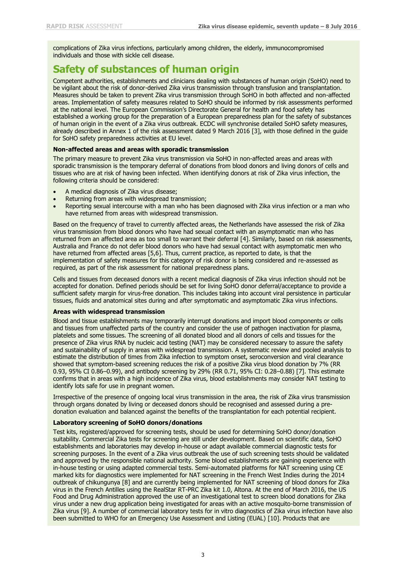complications of Zika virus infections, particularly among children, the elderly, immunocompromised individuals and those with sickle cell disease.

## **Safety of substances of human origin**

Competent authorities, establishments and clinicians dealing with substances of human origin (SoHO) need to be vigilant about the risk of donor-derived Zika virus transmission through transfusion and transplantation. Measures should be taken to prevent Zika virus transmission through SoHO in both affected and non-affected areas. Implementation of safety measures related to SoHO should be informed by risk assessments performed at the national level. The European Commission's Directorate General for health and food safety has established a working group for the preparation of a European preparedness plan for the safety of substances of human origin in the event of a Zika virus outbreak. ECDC will synchronise detailed SoHO safety measures, already described in Annex 1 of the risk assessment dated 9 March 2016 [3], with those defined in the guide for SoHO safety preparedness activities at EU level.

#### **Non-affected areas and areas with sporadic transmission**

The primary measure to prevent Zika virus transmission via SoHO in non-affected areas and areas with sporadic transmission is the temporary deferral of donations from blood donors and living donors of cells and tissues who are at risk of having been infected. When identifying donors at risk of Zika virus infection, the following criteria should be considered:

- A medical diagnosis of Zika virus disease;
- Returning from areas with widespread transmission;
- Reporting sexual intercourse with a man who has been diagnosed with Zika virus infection or a man who have returned from areas with widespread transmission.

Based on the frequency of travel to currently affected areas, the Netherlands have assessed the risk of Zika virus transmission from blood donors who have had sexual contact with an asymptomatic man who has returned from an affected area as too small to warrant their deferral [4]. Similarly, based on risk assessments, Australia and France do not defer blood donors who have had sexual contact with asymptomatic men who have returned from affected areas [5,6]. Thus, current practice, as reported to date, is that the implementation of safety measures for this category of risk donor is being considered and re-assessed as required, as part of the risk assessment for national preparedness plans.

Cells and tissues from deceased donors with a recent medical diagnosis of Zika virus infection should not be accepted for donation. Defined periods should be set for living SoHO donor deferral/acceptance to provide a sufficient safety margin for virus-free donation. This includes taking into account viral persistence in particular tissues, fluids and anatomical sites during and after symptomatic and asymptomatic Zika virus infections.

#### **Areas with widespread transmission**

Blood and tissue establishments may temporarily interrupt donations and import blood components or cells and tissues from unaffected parts of the country and consider the use of pathogen inactivation for plasma, platelets and some tissues. The screening of all donated blood and all donors of cells and tissues for the presence of Zika virus RNA by nucleic acid testing (NAT) may be considered necessary to assure the safety and sustainability of supply in areas with widespread transmission. A systematic review and pooled analysis to estimate the distribution of times from Zika infection to symptom onset, seroconversion and viral clearance showed that symptom-based screening reduces the risk of a positive Zika virus blood donation by 7% (RR 0.93, 95% CI 0.86–0.99), and antibody screening by 29% (RR 0.71, 95% CI: 0.28–0.88) [7]. This estimate confirms that in areas with a high incidence of Zika virus, blood establishments may consider NAT testing to identify lots safe for use in pregnant women.

Irrespective of the presence of ongoing local virus transmission in the area, the risk of Zika virus transmission through organs donated by living or deceased donors should be recognised and assessed during a predonation evaluation and balanced against the benefits of the transplantation for each potential recipient.

#### **Laboratory screening of SoHO donors/donations**

Test kits, registered/approved for screening tests, should be used for determining SoHO donor/donation suitability. Commercial Zika tests for screening are still under development. Based on scientific data, SoHO establishments and laboratories may develop in-house or adapt available commercial diagnostic tests for screening purposes. In the event of a Zika virus outbreak the use of such screening tests should be validated and approved by the responsible national authority. Some blood establishments are gaining experience with in-house testing or using adapted commercial tests. Semi-automated platforms for NAT screening using CE marked kits for diagnostics were implemented for NAT screening in the French West Indies during the 2014 outbreak of chikungunya [8] and are currently being implemented for NAT screening of blood donors for Zika virus in the French Antilles using the RealStar RT-PRC Zika kit 1.0, Altona. At the end of March 2016, the US Food and Drug Administration approved the use of an investigational test to screen blood donations for Zika virus under a new drug application being investigated for areas with an active mosquito-borne transmission of Zika virus [9]. A number of commercial laboratory tests for in vitro diagnostics of Zika virus infection have also been submitted to WHO for an Emergency Use Assessment and Listing (EUAL) [10]. Products that are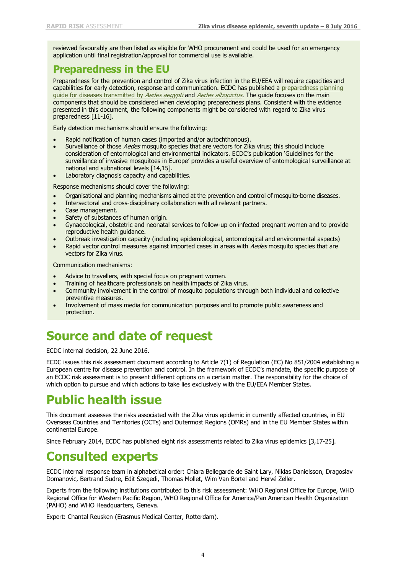reviewed favourably are then listed as eligible for WHO procurement and could be used for an emergency application until final registration/approval for commercial use is available.

## **Preparedness in the EU**

Preparedness for the prevention and control of Zika virus infection in the EU/EEA will require capacities and capabilities for early detection, response and communication. ECDC has published a [preparedness planning](http://ecdc.europa.eu/en/publications/Publications/zika-preparedness-planning-guide-aedes-mosquitoes.pdf)  [guide for diseases transmitted by](http://ecdc.europa.eu/en/publications/Publications/zika-preparedness-planning-guide-aedes-mosquitoes.pdf) Aedes aegypti and Aedes albopictus. The guide focuses on the main components that should be considered when developing preparedness plans. Consistent with the evidence presented in this document, the following components might be considered with regard to Zika virus preparedness [11-16].

Early detection mechanisms should ensure the following:

- Rapid notification of human cases (imported and/or autochthonous).
- Surveillance of those *Aedes* mosquito species that are vectors for Zika virus; this should include consideration of entomological and environmental indicators. ECDC's publication 'Guidelines for the surveillance of invasive mosquitoes in Europe' provides a useful overview of entomological surveillance at national and subnational levels [14,15].
- Laboratory diagnosis capacity and capabilities.

Response mechanisms should cover the following:

- Organisational and planning mechanisms aimed at the prevention and control of mosquito-borne diseases.
- Intersectoral and cross-disciplinary collaboration with all relevant partners.
- Case management.
- Safety of substances of human origin.
- Gynaecological, obstetric and neonatal services to follow-up on infected pregnant women and to provide reproductive health guidance.
- Outbreak investigation capacity (including epidemiological, entomological and environmental aspects)
- Rapid vector control measures against imported cases in areas with Aedes mosquito species that are vectors for Zika virus.

Communication mechanisms:

- Advice to travellers, with special focus on pregnant women.
- Training of healthcare professionals on health impacts of Zika virus.
- Community involvement in the control of mosquito populations through both individual and collective preventive measures.
- Involvement of mass media for communication purposes and to promote public awareness and protection.

# **Source and date of request**

ECDC internal decision, 22 June 2016.

ECDC issues this risk assessment document according to Article 7(1) of Regulation (EC) No 851/2004 establishing a European centre for disease prevention and control. In the framework of ECDC's mandate, the specific purpose of an ECDC risk assessment is to present different options on a certain matter. The responsibility for the choice of which option to pursue and which actions to take lies exclusively with the EU/EEA Member States.

# **Public health issue**

This document assesses the risks associated with the Zika virus epidemic in currently affected countries, in EU Overseas Countries and Territories (OCTs) and Outermost Regions (OMRs) and in the EU Member States within continental Europe.

Since February 2014, ECDC has published eight risk assessments related to Zika virus epidemics [3,17-25].

# **Consulted experts**

ECDC internal response team in alphabetical order: Chiara Bellegarde de Saint Lary, Niklas Danielsson, Dragoslav Domanovic, Bertrand Sudre, Edit Szegedi, Thomas Mollet, Wim Van Bortel and Hervé Zeller.

Experts from the following institutions contributed to this risk assessment: WHO Regional Office for Europe, WHO Regional Office for Western Pacific Region, WHO Regional Office for America/Pan American Health Organization (PAHO) and WHO Headquarters, Geneva.

Expert: Chantal Reusken (Erasmus Medical Center, Rotterdam).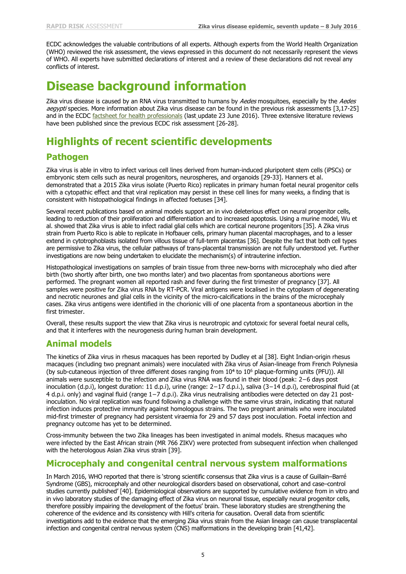ECDC acknowledges the valuable contributions of all experts. Although experts from the World Health Organization (WHO) reviewed the risk assessment, the views expressed in this document do not necessarily represent the views of WHO. All experts have submitted declarations of interest and a review of these declarations did not reveal any conflicts of interest.

## **Disease background information**

Zika virus disease is caused by an RNA virus transmitted to humans by Aedes mosquitoes, especially by the Aedes aegypti species. More information about Zika virus disease can be found in the previous risk assessments [3,17-25] and in the ECDC [factsheet for health professionals](http://ecdc.europa.eu/en/healthtopics/zika_virus_infection/factsheet-health-professionals/Pages/factsheet_health_professionals.aspx) (last update 23 June 2016). Three extensive literature reviews have been published since the previous ECDC risk assessment [26-28].

## **Highlights of recent scientific developments**

### **Pathogen**

Zika virus is able in vitro to infect various cell lines derived from human-induced pluripotent stem cells (iPSCs) or embryonic stem cells such as neural progenitors, neurospheres, and organoids [29-33]. Hanners et al. demonstrated that a 2015 Zika virus isolate (Puerto Rico) replicates in primary human foetal neural progenitor cells with a cytopathic effect and that viral replication may persist in these cell lines for many weeks, a finding that is consistent with histopathological findings in affected foetuses [34].

Several recent publications based on animal models support an in vivo deleterious effect on neural progenitor cells, leading to reduction of their proliferation and differentiation and to increased apoptosis. Using a murine model, Wu et al. showed that Zika virus is able to infect radial glial cells which are cortical neurone progenitors [35]. A Zika virus strain from Puerto Rico is able to replicate in Hofbauer cells, primary human placental macrophages, and to a lesser extend in cytotrophoblasts isolated from villous tissue of full-term placentas [36]. Despite the fact that both cell types are permissive to Zika virus, the cellular pathways of trans-placental transmission are not fully understood yet. Further investigations are now being undertaken to elucidate the mechanism(s) of intrauterine infection.

Histopathological investigations on samples of brain tissue from three new-borns with microcephaly who died after birth (two shortly after birth, one two months later) and two placentas from spontaneous abortions were performed. The pregnant women all reported rash and fever during the first trimester of pregnancy [37]. All samples were positive for Zika virus RNA by RT-PCR. Viral antigens were localised in the cytoplasm of degenerating and necrotic neurones and glial cells in the vicinity of the micro-calcifications in the brains of the microcephaly cases. Zika virus antigens were identified in the chorionic villi of one placenta from a spontaneous abortion in the first trimester.

Overall, these results support the view that Zika virus is neurotropic and cytotoxic for several foetal neural cells, and that it interferes with the neurogenesis during human brain development.

#### **Animal models**

The kinetics of Zika virus in rhesus macaques has been reported by Dudley et al [38]. Eight Indian-origin rhesus macaques (including two pregnant animals) were inoculated with Zika virus of Asian-lineage from French Polynesia (by sub-cutaneous injection of three different doses ranging from  $10^4$  to  $10^6$  plaque-forming units (PFU)). All animals were susceptible to the infection and Zika virus RNA was found in their blood (peak: 2−6 days post inoculation (d.p.i), longest duration: 11 d.p.i), urine (range: 2−17 d.p.i.), saliva (3−14 d.p.i), cerebrospinal fluid (at 4 d.p.i. only) and vaginal fluid (range 1−7 d.p.i). Zika virus neutralising antibodies were detected on day 21 postinoculation. No viral replication was found following a challenge with the same virus strain, indicating that natural infection induces protective immunity against homologous strains. The two pregnant animals who were inoculated mid-first trimester of pregnancy had persistent viraemia for 29 and 57 days post inoculation. Foetal infection and pregnancy outcome has yet to be determined.

Cross-immunity between the two Zika lineages has been investigated in animal models. Rhesus macaques who were infected by the East African strain (MR 766 ZIKV) were protected from subsequent infection when challenged with the heterologous Asian Zika virus strain [39].

### **Microcephaly and congenital central nervous system malformations**

In March 2016, WHO reported that there is 'strong scientific consensus that Zika virus is a cause of Guillain–Barré Syndrome (GBS), microcephaly and other neurological disorders based on observational, cohort and case–control studies currently published' [40]. Epidemiological observations are supported by cumulative evidence from in vitro and in vivo laboratory studies of the damaging effect of Zika virus on neuronal tissue, especially neural progenitor cells, therefore possibly impairing the development of the foetus' brain. These laboratory studies are strengthening the coherence of the evidence and its consistency with Hill's criteria for causation. Overall data from scientific investigations add to the evidence that the emerging Zika virus strain from the Asian lineage can cause transplacental infection and congenital central nervous system (CNS) malformations in the developing brain [41,42].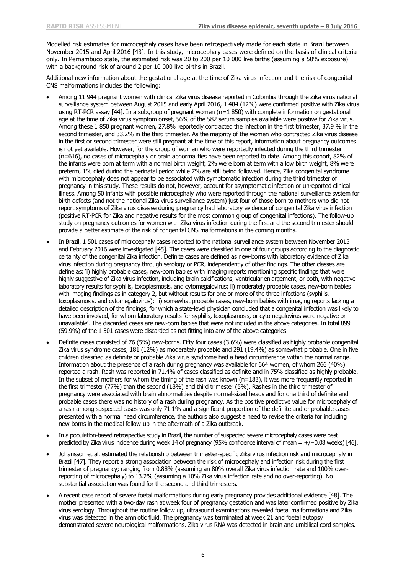Modelled risk estimates for microcephaly cases have been retrospectively made for each state in Brazil between November 2015 and April 2016 [43]. In this study, microcephaly cases were defined on the basis of clinical criteria only. In Pernambuco state, the estimated risk was 20 to 200 per 10 000 live births (assuming a 50% exposure) with a background risk of around 2 per 10 000 live births in Brazil.

Additional new information about the gestational age at the time of Zika virus infection and the risk of congenital CNS malformations includes the following:

- Among 11 944 pregnant women with clinical Zika virus disease reported in Colombia through the Zika virus national surveillance system between August 2015 and early April 2016, 1 484 (12%) were confirmed positive with Zika virus using RT-PCR assay [44]. In a subgroup of pregnant women (n=1 850) with complete information on gestational age at the time of Zika virus symptom onset, 56% of the 582 serum samples available were positive for Zika virus. Among these 1 850 pregnant women, 27.8% reportedly contracted the infection in the first trimester, 37.9 % in the second trimester, and 33.2% in the third trimester. As the majority of the women who contracted Zika virus disease in the first or second trimester were still pregnant at the time of this report, information about pregnancy outcomes is not yet available. However, for the group of women who were reportedly infected during the third trimester (n=616), no cases of microcephaly or brain abnormalities have been reported to date. Among this cohort, 82% of the infants were born at term with a normal birth weight, 2% were born at term with a low birth weight, 8% were preterm, 1% died during the perinatal period while 7% are still being followed. Hence, Zika congenital syndrome with microcephaly does not appear to be associated with symptomatic infection during the third trimester of pregnancy in this study. These results do not, however, account for asymptomatic infection or unreported clinical illness. Among 50 infants with possible microcephaly who were reported through the national surveillance system for birth defects (and not the national Zika virus surveillance system) just four of those born to mothers who did not report symptoms of Zika virus disease during pregnancy had laboratory evidence of congenital Zika virus infection (positive RT-PCR for Zika and negative results for the most common group of congenital infections). The follow-up study on pregnancy outcomes for women with Zika virus infection during the first and the second trimester should provide a better estimate of the risk of congenital CNS malformations in the coming months.
- In Brazil, 1 501 cases of microcephaly cases reported to the national surveillance system between November 2015 and February 2016 were investigated [45]. The cases were classified in one of four groups according to the diagnostic certainty of the congenital Zika infection. Definite cases are defined as new-borns with laboratory evidence of Zika virus infection during pregnancy through serology or PCR, independently of other findings. The other classes are define as: 'i) highly probable cases, new-born babies with imaging reports mentioning specific findings that were highly suggestive of Zika virus infection, including brain calcifications, ventricular enlargement, or both, with negative laboratory results for syphilis, toxoplasmosis, and cytomegalovirus; ii) moderately probable cases, new-born babies with imaging findings as in category 2, but without results for one or more of the three infections (syphilis, toxoplasmosis, and cytomegalovirus); iii) somewhat probable cases, new-born babies with imaging reports lacking a detailed description of the findings, for which a state-level physician concluded that a congenital infection was likely to have been involved, for whom laboratory results for syphilis, toxoplasmosis, or cytomegalovirus were negative or unavailable'. The discarded cases are new-born babies that were not included in the above categories. In total 899 (59.9%) of the 1 501 cases were discarded as not fitting into any of the above categories.
- Definite cases consisted of 76 (5%) new-borns. Fifty four cases (3.6%) were classified as highly probable congenital Zika virus syndrome cases, 181 (12%) as moderately probable and 291 (19.4%) as somewhat probable. One in five children classified as definite or probable Zika virus syndrome had a head circumference within the normal range. Information about the presence of a rash during pregnancy was available for 664 women, of whom 266 (40%) reported a rash. Rash was reported in 71.4% of cases classified as definite and in 75% classified as highly probable. In the subset of mothers for whom the timing of the rash was known (n=183), it was more frequently reported in the first trimester (77%) than the second (18%) and third trimester (5%). Rashes in the third trimester of pregnancy were associated with brain abnormalities despite normal-sized heads and for one third of definite and probable cases there was no history of a rash during pregnancy. As the positive predictive value for microcephaly of a rash among suspected cases was only 71.1% and a significant proportion of the definite and or probable cases presented with a normal head circumference, the authors also suggest a need to revise the criteria for including new-borns in the medical follow-up in the aftermath of a Zika outbreak.
- In a population-based retrospective study in Brazil, the number of suspected severe microcephaly cases were best predicted by Zika virus incidence during week 14 of pregnancy (95% confidence interval of mean = +/−0.08 weeks) [46].
- Johansson et al. estimated the relationship between trimester-specific Zika virus infection risk and microcephaly in Brazil [47]. They report a strong association between the risk of microcephaly and infection risk during the first trimester of pregnancy; ranging from 0.88% (assuming an 80% overall Zika virus infection rate and 100% overreporting of microcephaly) to 13.2% (assuming a 10% Zika virus infection rate and no over-reporting). No substantial association was found for the second and third trimesters.
- A recent case report of severe foetal malformations during early pregnancy provides additional evidence [48]. The mother presented with a two-day rash at week four of pregnancy gestation and was later confirmed positive by Zika virus serology. Throughout the routine follow up, ultrasound examinations revealed foetal malformations and Zika virus was detected in the amniotic fluid. The pregnancy was terminated at week 21 and foetal autopsy demonstrated severe neurological malformations. Zika virus RNA was detected in brain and umbilical cord samples.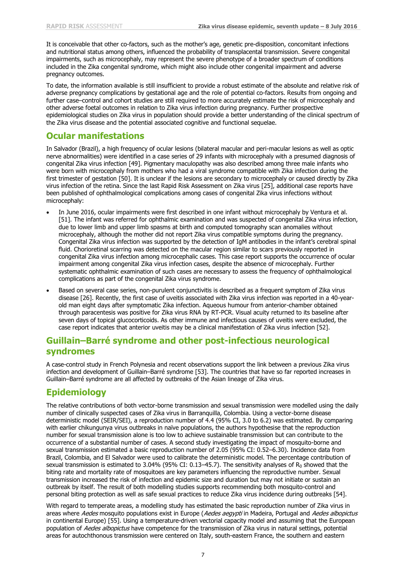It is conceivable that other co-factors, such as the mother's age, genetic pre-disposition, concomitant infections and nutritional status among others, influenced the probability of transplacental transmission. Severe congenital impairments, such as microcephaly, may represent the severe phenotype of a broader spectrum of conditions included in the Zika congenital syndrome, which might also include other congenital impairment and adverse pregnancy outcomes.

To date, the information available is still insufficient to provide a robust estimate of the absolute and relative risk of adverse pregnancy complications by gestational age and the role of potential co-factors. Results from ongoing and further case–control and cohort studies are still required to more accurately estimate the risk of microcephaly and other adverse foetal outcomes in relation to Zika virus infection during pregnancy. Further prospective epidemiological studies on Zika virus in population should provide a better understanding of the clinical spectrum of the Zika virus disease and the potential associated cognitive and functional sequelae.

### **Ocular manifestations**

In Salvador (Brazil), a high frequency of ocular lesions (bilateral macular and peri-macular lesions as well as optic nerve abnormalities) were identified in a case series of 29 infants with microcephaly with a presumed diagnosis of congenital Zika virus infection [49]. Pigmentary maculopathy was also described among three male infants who were born with microcephaly from mothers who had a viral syndrome compatible with Zika infection during the first trimester of gestation [50]. It is unclear if the lesions are secondary to microcephaly or caused directly by Zika virus infection of the retina. Since the last Rapid Risk Assessment on Zika virus [25], additional case reports have been published of ophthalmological complications among cases of congenital Zika virus infections without microcephaly:

- In June 2016, ocular impairments were first described in one infant without microcephaly by Ventura et al. [51]. The infant was referred for ophthalmic examination and was suspected of congenital Zika virus infection, due to lower limb and upper limb spasms at birth and computed tomography scan anomalies without microcephaly, although the mother did not report Zika virus compatible symptoms during the pregnancy. Congenital Zika virus infection was supported by the detection of IgM antibodies in the infant's cerebral spinal fluid. Chorioretinal scarring was detected on the macular region similar to scars previously reported in congenital Zika virus infection among microcephalic cases. This case report supports the occurrence of ocular impairment among congenital Zika virus infection cases, despite the absence of microcephaly. Further systematic ophthalmic examination of such cases are necessary to assess the frequency of ophthalmological complications as part of the congenital Zika virus syndrome.
- Based on several case series, non-purulent conjunctivitis is described as a frequent symptom of Zika virus disease [26]. Recently, the first case of uveitis associated with Zika virus infection was reported in a 40-yearold man eight days after symptomatic Zika infection. Aqueous humour from anterior-chamber obtained through paracentesis was positive for Zika virus RNA by RT-PCR. Visual acuity returned to its baseline after seven days of topical glucocorticoids. As other immune and infectious causes of uveitis were excluded, the case report indicates that anterior uveitis may be a clinical manifestation of Zika virus infection [52].

### **Guillain–Barré syndrome and other post-infectious neurological syndromes**

A case-control study in French Polynesia and recent observations support the link between a previous Zika virus infection and development of Guillain–Barré syndrome [53]. The countries that have so far reported increases in Guillain–Barré syndrome are all affected by outbreaks of the Asian lineage of Zika virus.

### **Epidemiology**

The relative contributions of both vector-borne transmission and sexual transmission were modelled using the daily number of clinically suspected cases of Zika virus in Barranquilla, Colombia. Using a vector-borne disease deterministic model (SEIR/SEI), a reproduction number of 4.4 (95% CI, 3.0 to 6.2) was estimated. By comparing with earlier chikungunya virus outbreaks in naïve populations, the authors hypothesise that the reproduction number for sexual transmission alone is too low to achieve sustainable transmission but can contribute to the occurrence of a substantial number of cases. A second study investigating the impact of mosquito-borne and sexual transmission estimated a basic reproduction number of 2.05 (95% CI: 0.52–6.30). Incidence data from Brazil, Colombia, and El Salvador were used to calibrate the deterministic model. The percentage contribution of sexual transmission is estimated to 3.04% (95% CI:  $0.13-45.7$ ). The sensitivity analyses of R<sub>0</sub> showed that the biting rate and mortality rate of mosquitoes are key parameters influencing the reproductive number. Sexual transmission increased the risk of infection and epidemic size and duration but may not initiate or sustain an outbreak by itself. The result of both modelling studies supports recommending both mosquito-control and personal biting protection as well as safe sexual practices to reduce Zika virus incidence during outbreaks [54].

With regard to temperate areas, a modelling study has estimated the basic reproduction number of Zika virus in areas where Aedes mosquito populations exist in Europe (Aedes aegypti in Madeira, Portugal and Aedes albopictus in continental Europe) [55]. Using a temperature-driven vectorial capacity model and assuming that the European population of Aedes albopictus have competence for the transmission of Zika virus in natural settings, potential areas for autochthonous transmission were centered on Italy, south-eastern France, the southern and eastern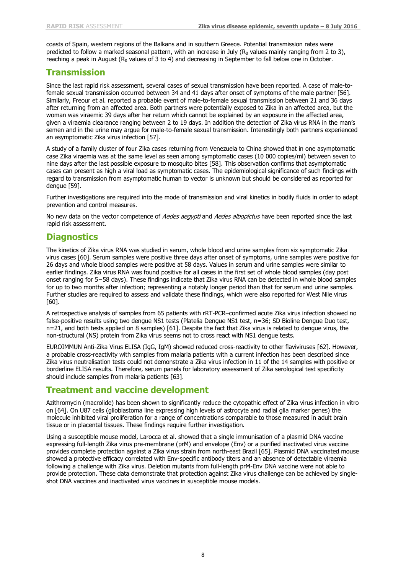coasts of Spain, western regions of the Balkans and in southern Greece. Potential transmission rates were predicted to follow a marked seasonal pattern, with an increase in July ( $R_0$  values mainly ranging from 2 to 3), reaching a peak in August ( $R_0$  values of 3 to 4) and decreasing in September to fall below one in October.

### **Transmission**

Since the last rapid risk assessment, several cases of sexual transmission have been reported. A case of male-tofemale sexual transmission occurred between 34 and 41 days after onset of symptoms of the male partner [56]. Similarly, Freour et al. reported a probable event of male-to-female sexual transmission between 21 and 36 days after returning from an affected area. Both partners were potentially exposed to Zika in an affected area, but the woman was viraemic 39 days after her return which cannot be explained by an exposure in the affected area, given a viraemia clearance ranging between 2 to 19 days. In addition the detection of Zika virus RNA in the man's semen and in the urine may argue for male-to-female sexual transmission. Interestingly both partners experienced an asymptomatic Zika virus infection [57].

A study of a family cluster of four Zika cases returning from Venezuela to China showed that in one asymptomatic case Zika viraemia was at the same level as seen among symptomatic cases (10 000 copies/ml) between seven to nine days after the last possible exposure to mosquito bites [58]. This observation confirms that asymptomatic cases can present as high a viral load as symptomatic cases. The epidemiological significance of such findings with regard to transmission from asymptomatic human to vector is unknown but should be considered as reported for dengue [59].

Further investigations are required into the mode of transmission and viral kinetics in bodily fluids in order to adapt prevention and control measures.

No new data on the vector competence of Aedes aegypti and Aedes albopictus have been reported since the last rapid risk assessment.

#### **Diagnostics**

The kinetics of Zika virus RNA was studied in serum, whole blood and urine samples from six symptomatic Zika virus cases [60]. Serum samples were positive three days after onset of symptoms, urine samples were positive for 26 days and whole blood samples were positive at 58 days. Values in serum and urine samples were similar to earlier findings. Zika virus RNA was found positive for all cases in the first set of whole blood samples (day post onset ranging for 5−58 days). These findings indicate that Zika virus RNA can be detected in whole blood samples for up to two months after infection; representing a notably longer period than that for serum and urine samples. Further studies are required to assess and validate these findings, which were also reported for West Nile virus [60].

A retrospective analysis of samples from 65 patients with rRT-PCR–confirmed acute Zika virus infection showed no false-positive results using two dengue NS1 tests (Platelia Dengue NS1 test, n=36; SD Bioline Dengue Duo test, n=21, and both tests applied on 8 samples) [61]. Despite the fact that Zika virus is related to dengue virus, the non-structural (NS) protein from Zika virus seems not to cross react with NS1 dengue tests.

EUROIMMUN Anti-Zika Virus ELISA (IgG, IgM) showed reduced cross-reactivity to other flaviviruses [62]. However, a probable cross-reactivity with samples from malaria patients with a current infection has been described since Zika virus neutralisation tests could not demonstrate a Zika virus infection in 11 of the 14 samples with positive or borderline ELISA results. Therefore, serum panels for laboratory assessment of Zika serological test specificity should include samples from malaria patients [63].

#### **Treatment and vaccine development**

Azithromycin (macrolide) has been shown to significantly reduce the cytopathic effect of Zika virus infection in vitro on [64]. On U87 cells (glioblastoma line expressing high levels of astrocyte and radial glia marker genes) the molecule inhibited viral proliferation for a range of concentrations comparable to those measured in adult brain tissue or in placental tissues. These findings require further investigation.

Using a susceptible mouse model, Larocca et al. showed that a single immunisation of a plasmid DNA vaccine expressing full-length Zika virus pre-membrane (prM) and envelope (Env) or a purified inactivated virus vaccine provides complete protection against a Zika virus strain from north-east Brazil [65]. Plasmid DNA vaccinated mouse showed a protective efficacy correlated with Env-specific antibody titers and an absence of detectable viraemia following a challenge with Zika virus. Deletion mutants from full-length prM-Env DNA vaccine were not able to provide protection. These data demonstrate that protection against Zika virus challenge can be achieved by singleshot DNA vaccines and inactivated virus vaccines in susceptible mouse models.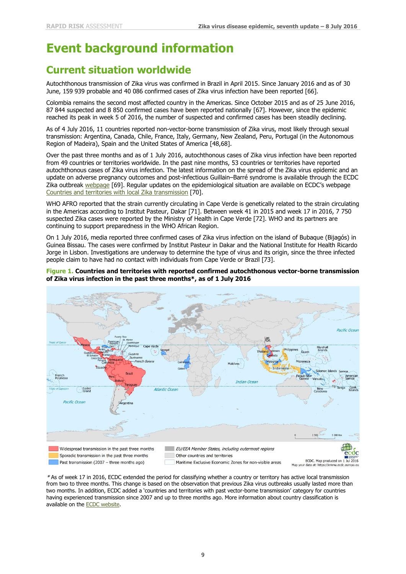# **Event background information**

## **Current situation worldwide**

Autochthonous transmission of Zika virus was confirmed in Brazil in April 2015. Since January 2016 and as of 30 June, 159 939 probable and 40 086 confirmed cases of Zika virus infection have been reported [66].

Colombia remains the second most affected country in the Americas. Since October 2015 and as of 25 June 2016, 87 844 suspected and 8 850 confirmed cases have been reported nationally [67]. However, since the epidemic reached its peak in week 5 of 2016, the number of suspected and confirmed cases has been steadily declining.

As of 4 July 2016, 11 countries reported non-vector-borne transmission of Zika virus, most likely through sexual transmission: Argentina, Canada, Chile, France, Italy, Germany, New Zealand, Peru, Portugal (in the Autonomous Region of Madeira), Spain and the United States of America [48,68].

Over the past three months and as of 1 July 2016, autochthonous cases of Zika virus infection have been reported from 49 countries or territories worldwide. In the past nine months, 53 countries or territories have reported autochthonous cases of Zika virus infection. The latest information on the spread of the Zika virus epidemic and an update on adverse pregnancy outcomes and post-infectious Guillain–Barré syndrome is available through the ECDC Zika outbreak [webpage](http://ecdc.europa.eu/en/healthtopics/zika_virus_infection/zika-outbreak/Pages/zika-outbreak.aspx) [69]. Regular updates on the epidemiological situation are available on ECDC's webpage [Countries and territories with local Zika transmission](http://ecdc.europa.eu/en/healthtopics/zika_virus_infection/zika-outbreak/Pages/Zika-countries-with-transmission.aspx) [70].

WHO AFRO reported that the strain currently circulating in Cape Verde is genetically related to the strain circulating in the Americas according to Institut Pasteur, Dakar [71]. Between week 41 in 2015 and week 17 in 2016, 7 750 suspected Zika cases were reported by the Ministry of Health in Cape Verde [72]. WHO and its partners are continuing to support preparedness in the WHO African Region.

On 1 July 2016, media reported three confirmed cases of Zika virus infection on the island of Bubaque (Bijagós) in Guinea Bissau. The cases were confirmed by Institut Pasteur in Dakar and the National Institute for Health Ricardo Jorge in Lisbon. Investigations are underway to determine the type of virus and its origin, since the three infected people claim to have had no contact with individuals from Cape Verde or Brazil [73].

#### **Figure 1. Countries and territories with reported confirmed autochthonous vector-borne transmission of Zika virus infection in the past three months\*, as of 1 July 2016**



\* As of week 17 in 2016, ECDC extended the period for classifying whether a country or territory has active local transmission from two to three months. This change is based on the observation that previous Zika virus outbreaks usually lasted more than two months. In addition, ECDC added a 'countries and territories with past vector-borne transmission' category for countries having experienced transmission since 2007 and up to three months ago. More information about country classification is available on the [ECDC website.](http://www.ecdc.europa.eu/en/healthtopics/zika_virus_infection/zika-outbreak/Pages/Zika-countries-with-transmission.aspx)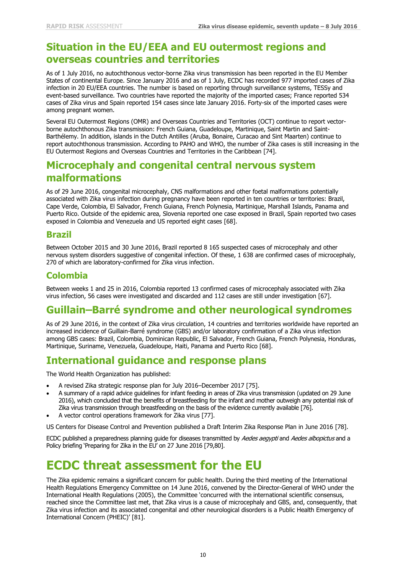### **Situation in the EU/EEA and EU outermost regions and overseas countries and territories**

As of 1 July 2016, no autochthonous vector-borne Zika virus transmission has been reported in the EU Member States of continental Europe. Since January 2016 and as of 1 July, ECDC has recorded 977 imported cases of Zika infection in 20 EU/EEA countries. The number is based on reporting through surveillance systems, TESSy and event-based surveillance. Two countries have reported the majority of the imported cases; France reported 534 cases of Zika virus and Spain reported 154 cases since late January 2016. Forty-six of the imported cases were among pregnant women.

Several EU Outermost Regions (OMR) and Overseas Countries and Territories (OCT) continue to report vectorborne autochthonous Zika transmission: French Guiana, Guadeloupe, Martinique, Saint Martin and Saint-Barthélemy. In addition, islands in the Dutch Antilles (Aruba, Bonaire, Curacao and Sint Maarten) continue to report autochthonous transmission. According to PAHO and WHO, the number of Zika cases is still increasing in the EU Outermost Regions and Overseas Countries and Territories in the Caribbean [74].

## **Microcephaly and congenital central nervous system malformations**

As of 29 June 2016, congenital microcephaly, CNS malformations and other foetal malformations potentially associated with Zika virus infection during pregnancy have been reported in ten countries or territories: Brazil, Cape Verde, Colombia, El Salvador, French Guiana, French Polynesia, Martinique, Marshall Islands, Panama and Puerto Rico. Outside of the epidemic area, Slovenia reported one case exposed in Brazil, Spain reported two cases exposed in Colombia and Venezuela and US reported eight cases [68].

#### **Brazil**

Between October 2015 and 30 June 2016, Brazil reported 8 165 suspected cases of microcephaly and other nervous system disorders suggestive of congenital infection. Of these, 1 638 are confirmed cases of microcephaly, 270 of which are laboratory-confirmed for Zika virus infection.

#### **Colombia**

Between weeks 1 and 25 in 2016, Colombia reported 13 confirmed cases of microcephaly associated with Zika virus infection, 56 cases were investigated and discarded and 112 cases are still under investigation [67].

## **Guillain–Barré syndrome and other neurological syndromes**

As of 29 June 2016, in the context of Zika virus circulation, 14 countries and territories worldwide have reported an increased incidence of Guillain-Barré syndrome (GBS) and/or laboratory confirmation of a Zika virus infection among GBS cases: Brazil, Colombia, Dominican Republic, El Salvador, French Guiana, French Polynesia, Honduras, Martinique, Suriname, Venezuela, Guadeloupe, Haiti, Panama and Puerto Rico [68].

### **International guidance and response plans**

The World Health Organization has published:

- A revised Zika strategic response plan for July 2016–December 2017 [75].
- A summary of a rapid advice guidelines for infant feeding in areas of Zika virus transmission (updated on 29 June 2016), which concluded that the benefits of breastfeeding for the infant and mother outweigh any potential risk of Zika virus transmission through breastfeeding on the basis of the evidence currently available [76].
- A vector control operations framework for Zika virus [77].

US Centers for Disease Control and Prevention published a Draft Interim Zika Response Plan in June 2016 [78].

ECDC published a preparedness planning quide for diseases transmitted by Aedes aegypti and Aedes albopictus and a Policy briefing 'Preparing for Zika in the EU' on 27 June 2016 [79,80].

## **ECDC threat assessment for the EU**

The Zika epidemic remains a significant concern for public health. During the third meeting of the International Health Regulations Emergency Committee on 14 June 2016, convened by the Director-General of WHO under the International Health Regulations (2005), the Committee 'concurred with the international scientific consensus, reached since the Committee last met, that Zika virus is a cause of microcephaly and GBS, and, consequently, that Zika virus infection and its associated congenital and other neurological disorders is a Public Health Emergency of International Concern (PHEIC)' [81].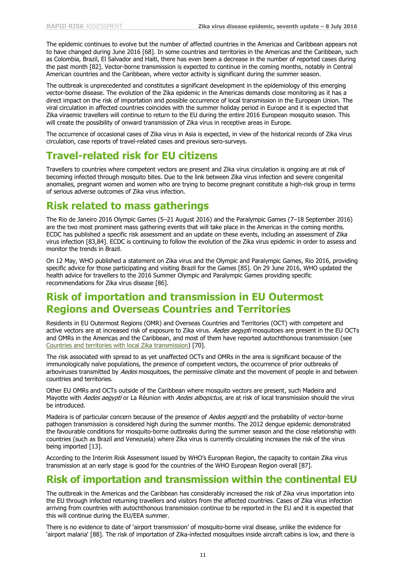The epidemic continues to evolve but the number of affected countries in the Americas and Caribbean appears not to have changed during June 2016 [68]. In some countries and territories in the Americas and the Caribbean, such as Colombia, Brazil, El Salvador and Haiti, there has even been a decrease in the number of reported cases during the past month [82]. Vector-borne transmission is expected to continue in the coming months, notably in Central American countries and the Caribbean, where vector activity is significant during the summer season.

The outbreak is unprecedented and constitutes a significant development in the epidemiology of this emerging vector-borne disease. The evolution of the Zika epidemic in the Americas demands close monitoring as it has a direct impact on the risk of importation and possible occurrence of local transmission in the European Union. The viral circulation in affected countries coincides with the summer holiday period in Europe and it is expected that Zika viraemic travellers will continue to return to the EU during the entire 2016 European mosquito season. This will create the possibility of onward transmission of Zika virus in receptive areas in Europe.

The occurrence of occasional cases of Zika virus in Asia is expected, in view of the historical records of Zika virus circulation, case reports of travel-related cases and previous sero-surveys.

## **Travel-related risk for EU citizens**

Travellers to countries where competent vectors are present and Zika virus circulation is ongoing are at risk of becoming infected through mosquito bites. Due to the link between Zika virus infection and severe congenital anomalies, pregnant women and women who are trying to become pregnant constitute a high-risk group in terms of serious adverse outcomes of Zika virus infection.

## **Risk related to mass gatherings**

The Rio de Janeiro 2016 Olympic Games (5–21 August 2016) and the Paralympic Games (7–18 September 2016) are the two most prominent mass gathering events that will take place in the Americas in the coming months. ECDC has published a specific risk assessment and an update on these events, including an assessment of Zika virus infection [83,84]. ECDC is continuing to follow the evolution of the Zika virus epidemic in order to assess and monitor the trends in Brazil.

On 12 May, WHO published a statement on Zika virus and the Olympic and Paralympic Games, Rio 2016, providing specific advice for those participating and visiting Brazil for the Games [85]. On 29 June 2016, WHO updated the health advice for travellers to the 2016 Summer Olympic and Paralympic Games providing specific recommendations for Zika virus disease [86].

## **Risk of importation and transmission in EU Outermost Regions and Overseas Countries and Territories**

Residents in EU Outermost Regions (OMR) and Overseas Countries and Territories (OCT) with competent and active vectors are at increased risk of exposure to Zika virus. Aedes aegypti mosquitoes are present in the EU OCTs and OMRs in the Americas and the Caribbean, and most of them have reported autochthonous transmission (see [Countries and territories with local Zika transmission\)](http://ecdc.europa.eu/en/healthtopics/zika_virus_infection/zika-outbreak/Pages/Zika-countries-with-transmission.aspx) [70].

The risk associated with spread to as yet unaffected OCTs and OMRs in the area is significant because of the immunologically naïve populations, the presence of competent vectors, the occurrence of prior outbreaks of arboviruses transmitted by Aedes mosquitoes, the permissive climate and the movement of people in and between countries and territories.

Other EU OMRs and OCTs outside of the Caribbean where mosquito vectors are present, such Madeira and Mayotte with Aedes aegypti or La Réunion with Aedes albopictus, are at risk of local transmission should the virus be introduced.

Madeira is of particular concern because of the presence of *Aedes aegypti* and the probability of vector-borne pathogen transmission is considered high during the summer months. The 2012 dengue epidemic demonstrated the favourable conditions for mosquito-borne outbreaks during the summer season and the close relationship with countries (such as Brazil and Venezuela) where Zika virus is currently circulating increases the risk of the virus being imported [13].

According to the Interim Risk Assessment issued by WHO's European Region, the capacity to contain Zika virus transmission at an early stage is good for the countries of the WHO European Region overall [87].

### **Risk of importation and transmission within the continental EU**

The outbreak in the Americas and the Caribbean has considerably increased the risk of Zika virus importation into the EU through infected returning travellers and visitors from the affected countries. Cases of Zika virus infection arriving from countries with autochthonous transmission continue to be reported in the EU and it is expected that this will continue during the EU/EEA summer.

There is no evidence to date of 'airport transmission' of mosquito-borne viral disease, unlike the evidence for 'airport malaria' [88]. The risk of importation of Zika-infected mosquitoes inside aircraft cabins is low, and there is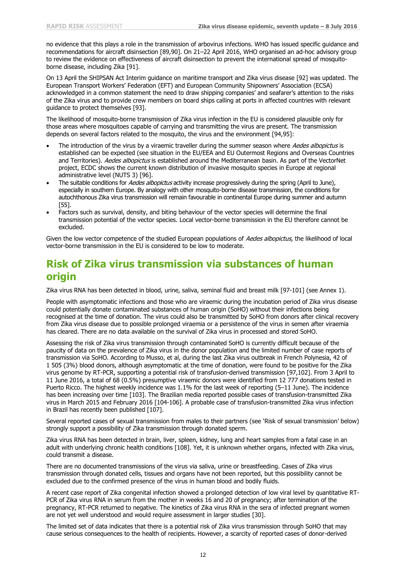no evidence that this plays a role in the transmission of arbovirus infections. WHO has issued specific guidance and recommendations for aircraft disinsection [89,90]. On 21–22 April 2016, WHO organised an ad-hoc advisory group to review the evidence on effectiveness of aircraft disinsection to prevent the international spread of mosquitoborne disease, including Zika [91].

On 13 April the SHIPSAN Act Interim guidance on maritime transport and Zika virus disease [92] was updated. The European Transport Workers' Federation (EFT) and European Community Shipowners' Association (ECSA) acknowledged in a common statement the need to draw shipping companies' and seafarer's attention to the risks of the Zika virus and to provide crew members on board ships calling at ports in affected countries with relevant guidance to protect themselves [93].

The likelihood of mosquito-borne transmission of Zika virus infection in the EU is considered plausible only for those areas where mosquitoes capable of carrying and transmitting the virus are present. The transmission depends on several factors related to the mosquito, the virus and the environment [94,95]:

- The introduction of the virus by a viraemic traveller during the summer season where Aedes albopictus is established can be expected (see situation in the EU/EEA and EU Outermost Regions and Overseas Countries and Territories). Aedes albopictus is established around the Mediterranean basin. As part of the VectorNet project, ECDC shows the current known distribution of invasive mosquito species in Europe at regional administrative level (NUTS 3) [96].
- The suitable conditions for Aedes albopictus activity increase progressively during the spring (April to June), especially in southern Europe. By analogy with other mosquito-borne disease transmission, the conditions for autochthonous Zika virus transmission will remain favourable in continental Europe during summer and autumn [55].
- Factors such as survival, density, and biting behaviour of the vector species will determine the final transmission potential of the vector species. Local vector-borne transmission in the EU therefore cannot be excluded.

Given the low vector competence of the studied European populations of Aedes albopictus, the likelihood of local vector-borne transmission in the EU is considered to be low to moderate.

## **Risk of Zika virus transmission via substances of human origin**

Zika virus RNA has been detected in blood, urine, saliva, seminal fluid and breast milk [97-101] (see Annex 1).

People with asymptomatic infections and those who are viraemic during the incubation period of Zika virus disease could potentially donate contaminated substances of human origin (SoHO) without their infections being recognised at the time of donation. The virus could also be transmitted by SoHO from donors after clinical recovery from Zika virus disease due to possible prolonged viraemia or a persistence of the virus in semen after viraemia has cleared. There are no data available on the survival of Zika virus in processed and stored SoHO.

Assessing the risk of Zika virus transmission through contaminated SoHO is currently difficult because of the paucity of data on the prevalence of Zika virus in the donor population and the limited number of case reports of transmission via SoHO. According to Musso, et al, during the last Zika virus outbreak in French Polynesia, 42 of 1 505 (3%) blood donors, although asymptomatic at the time of donation, were found to be positive for the Zika virus genome by RT-PCR, supporting a potential risk of transfusion-derived transmission [97,102]. From 3 April to 11 June 2016, a total of 68 (0.5%) presumptive viraemic donors were identified from 12 777 donations tested in Puerto Ricco. The highest weekly incidence was 1.1% for the last week of reporting (5–11 June). The incidence has been increasing over time [103]. The Brazilian media reported possible cases of transfusion-transmitted Zika virus in March 2015 and February 2016 [104-106]. A probable case of transfusion-transmitted Zika virus infection in Brazil has recently been published [107].

Several reported cases of sexual transmission from males to their partners (see 'Risk of sexual transmission' below) strongly support a possibility of Zika transmission through donated sperm.

Zika virus RNA has been detected in brain, liver, spleen, kidney, lung and heart samples from a fatal case in an adult with underlying chronic health conditions [108]. Yet, it is unknown whether organs, infected with Zika virus, could transmit a disease.

There are no documented transmissions of the virus via saliva, urine or breastfeeding. Cases of Zika virus transmission through donated cells, tissues and organs have not been reported, but this possibility cannot be excluded due to the confirmed presence of the virus in human blood and bodily fluids.

A recent case report of Zika congenital infection showed a prolonged detection of low viral level by quantitative RT-PCR of Zika virus RNA in serum from the mother in weeks 16 and 20 of pregnancy; after termination of the pregnancy, RT-PCR returned to negative. The kinetics of Zika virus RNA in the sera of infected pregnant women are not yet well understood and would require assessment in larger studies [30].

The limited set of data indicates that there is a potential risk of Zika virus transmission through SoHO that may cause serious consequences to the health of recipients. However, a scarcity of reported cases of donor-derived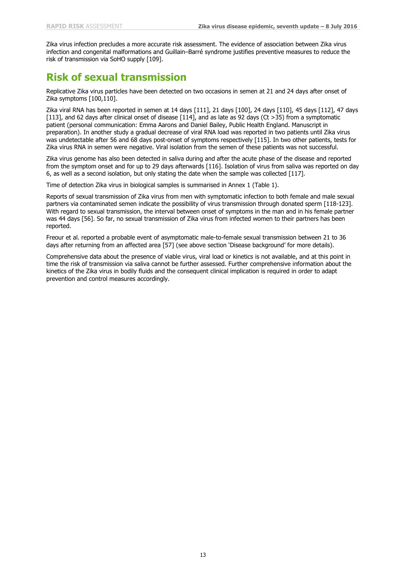Zika virus infection precludes a more accurate risk assessment. The evidence of association between Zika virus infection and congenital malformations and Guillain–Barré syndrome justifies preventive measures to reduce the risk of transmission via SoHO supply [109].

## **Risk of sexual transmission**

Replicative Zika virus particles have been detected on two occasions in semen at 21 and 24 days after onset of Zika symptoms [100,110].

Zika viral RNA has been reported in semen at 14 days [111], 21 days [100], 24 days [110], 45 days [112], 47 days [113], and 62 days after clinical onset of disease [114], and as late as 92 days (Ct >35) from a symptomatic patient (personal communication: Emma Aarons and Daniel Bailey, Public Health England. Manuscript in preparation). In another study a gradual decrease of viral RNA load was reported in two patients until Zika virus was undetectable after 56 and 68 days post-onset of symptoms respectively [115]. In two other patients, tests for Zika virus RNA in semen were negative. Viral isolation from the semen of these patients was not successful.

Zika virus genome has also been detected in saliva during and after the acute phase of the disease and reported from the symptom onset and for up to 29 days afterwards [116]. Isolation of virus from saliva was reported on day 6, as well as a second isolation, but only stating the date when the sample was collected [117].

Time of detection Zika virus in biological samples is summarised in Annex 1 (Table 1).

Reports of sexual transmission of Zika virus from men with symptomatic infection to both female and male sexual partners via contaminated semen indicate the possibility of virus transmission through donated sperm [118-123]. With regard to sexual transmission, the interval between onset of symptoms in the man and in his female partner was 44 days [56]. So far, no sexual transmission of Zika virus from infected women to their partners has been reported.

Freour et al. reported a probable event of asymptomatic male-to-female sexual transmission between 21 to 36 days after returning from an affected area [57] (see above section 'Disease background' for more details).

Comprehensive data about the presence of viable virus, viral load or kinetics is not available, and at this point in time the risk of transmission via saliva cannot be further assessed. Further comprehensive information about the kinetics of the Zika virus in bodily fluids and the consequent clinical implication is required in order to adapt prevention and control measures accordingly.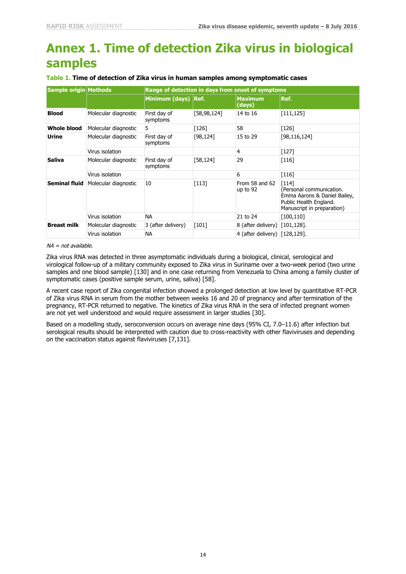# **Annex 1. Time of detection Zika virus in biological samples**

| Sample origin Methods |                      | Range of detection in days from onset of symptoms |               |                               |                                                                                                                             |
|-----------------------|----------------------|---------------------------------------------------|---------------|-------------------------------|-----------------------------------------------------------------------------------------------------------------------------|
|                       |                      | Minimum (days) Ref.                               |               | Maximum<br>(days)             | Ref.                                                                                                                        |
| <b>Blood</b>          | Molecular diagnostic | First day of<br>symptoms                          | [58, 98, 124] | 14 to 16                      | [111, 125]                                                                                                                  |
| Whole blood           | Molecular diagnostic | 5                                                 | $[126]$       | 58                            | $[126]$                                                                                                                     |
| <b>Urine</b>          | Molecular diagnostic | First day of<br>symptoms                          | [98, 124]     | 15 to 29                      | [98, 116, 124]                                                                                                              |
|                       | Virus isolation      |                                                   |               | 4                             | $[127]$                                                                                                                     |
| <b>Saliva</b>         | Molecular diagnostic | First day of<br>symptoms                          | [58, 124]     | 29                            | $[116]$                                                                                                                     |
|                       | Virus isolation      |                                                   |               | 6                             | $[116]$                                                                                                                     |
| <b>Seminal fluid</b>  | Molecular diagnostic | 10                                                | [113]         | From 58 and 62<br>up to 92    | $[114]$<br>(Personal communication.<br>Emma Aarons & Daniel Bailey,<br>Public Health England.<br>Manuscript in preparation) |
|                       | Virus isolation      | NA.                                               |               | 21 to 24                      | [100, 110]                                                                                                                  |
| <b>Breast milk</b>    | Molecular diagnostic | 3 (after delivery)                                | $[101]$       | 8 (after delivery) [101,128]. |                                                                                                                             |
|                       | Virus isolation      | ΝA                                                |               | 4 (after delivery) [128,129]. |                                                                                                                             |

#### **Table 1. Time of detection of Zika virus in human samples among symptomatic cases**

#### NA <sup>=</sup> not available.

Zika virus RNA was detected in three asymptomatic individuals during a biological, clinical, serological and virological follow-up of a military community exposed to Zika virus in Suriname over a two-week period (two urine samples and one blood sample) [130] and in one case returning from Venezuela to China among a family cluster of symptomatic cases (positive sample serum, urine, saliva) [58].

A recent case report of Zika congenital infection showed a prolonged detection at low level by quantitative RT-PCR of Zika virus RNA in serum from the mother between weeks 16 and 20 of pregnancy and after termination of the pregnancy, RT-PCR returned to negative. The kinetics of Zika virus RNA in the sera of infected pregnant women are not yet well understood and would require assessment in larger studies [30].

Based on a modelling study, seroconversion occurs on average nine days (95% CI, 7.0–11.6) after infection but serological results should be interpreted with caution due to cross-reactivity with other flaviviruses and depending on the vaccination status against flaviviruses [7,131].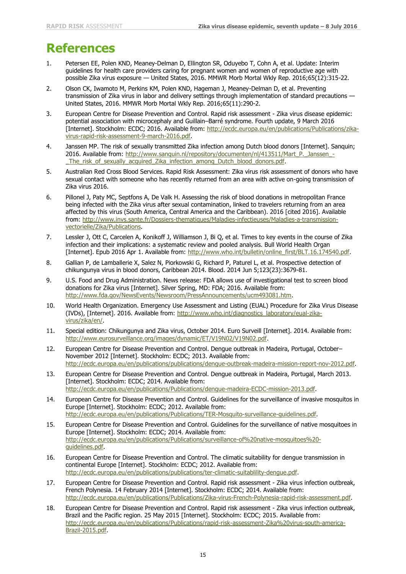## **References**

- 1. Petersen EE, Polen KND, Meaney-Delman D, Ellington SR, Oduyebo T, Cohn A, et al. Update: Interim guidelines for health care providers caring for pregnant women and women of reproductive age with possible Zika virus exposure — United States, 2016. MMWR Morb Mortal Wkly Rep. 2016;65(12):315-22.
- 2. Olson CK, Iwamoto M, Perkins KM, Polen KND, Hageman J, Meaney-Delman D, et al. Preventing transmission of Zika virus in labor and delivery settings through implementation of standard precautions — United States, 2016. MMWR Morb Mortal Wkly Rep. 2016;65(11):290-2.
- 3. European Centre for Disease Prevention and Control. Rapid risk assessment Zika virus disease epidemic: potential association with microcephaly and Guillain–Barré syndrome. Fourth update, 9 March 2016 [Internet]. Stockholm: ECDC; 2016. Available from: [http://ecdc.europa.eu/en/publications/Publications/zika](http://ecdc.europa.eu/en/publications/Publications/zika-virus-rapid-risk-assessment-9-march-2016.pdf)[virus-rapid-risk-assessment-9-march-2016.pdf.](http://ecdc.europa.eu/en/publications/Publications/zika-virus-rapid-risk-assessment-9-march-2016.pdf)
- 4. Janssen MP. The risk of sexually transmitted Zika infection among Dutch blood donors [Internet]. Sanquin; 2016. Available from: [http://www.sanquin.nl/repository/documenten/nl/413511/Mart\\_P.\\_Janssen\\_-](http://www.sanquin.nl/repository/documenten/nl/413511/Mart_P._Janssen_-_The_risk_of_sexually_acquired_Zika_infection_among_Dutch_blood_donors.pdf) [\\_The\\_risk\\_of\\_sexually\\_acquired\\_Zika\\_infection\\_among\\_Dutch\\_blood\\_donors.pdf.](http://www.sanquin.nl/repository/documenten/nl/413511/Mart_P._Janssen_-_The_risk_of_sexually_acquired_Zika_infection_among_Dutch_blood_donors.pdf)
- 5. Australian Red Cross Blood Services. Rapid Risk Assessment: Zika virus risk assessment of donors who have sexual contact with someone who has recently returned from an area with active on-going transmission of Zika virus 2016.
- 6. Pillonel J, Paty MC, Septfons A, De Valk H. Assessing the risk of blood donations in metropolitan France being infected with the Zika virus after sexual contamination, linked to travelers returning from an area affected by this virus (South America, Central America and the Caribbean). 2016 [cited 2016]. Available from: [http://www.invs.sante.fr/Dossiers-thematiques/Maladies-infectieuses/Maladies-a-transmission](http://www.invs.sante.fr/Dossiers-thematiques/Maladies-infectieuses/Maladies-a-transmission-vectorielle/Zika/Publications)[vectorielle/Zika/Publications.](http://www.invs.sante.fr/Dossiers-thematiques/Maladies-infectieuses/Maladies-a-transmission-vectorielle/Zika/Publications)
- 7. Lessler J, Ott C, Carcelen A, Konikoff J, Williamson J, Bi Q, et al. Times to key events in the course of Zika infection and their implications: a systematic review and pooled analysis. Bull World Health Organ [Internet]. Epub 2016 Apr 1. Available from: [http://www.who.int/bulletin/online\\_first/BLT.16.174540.pdf.](http://www.who.int/bulletin/online_first/BLT.16.174540.pdf)
- 8. Gallian P, de Lamballerie X, Salez N, Piorkowski G, Richard P, Paturel L, et al. Prospective detection of chikungunya virus in blood donors, Caribbean 2014. Blood. 2014 Jun 5;123(23):3679-81.
- 9. U.S. Food and Drug Administration. News release: FDA allows use of investigational test to screen blood donations for Zika virus [Internet]. Silver Spring, MD: FDA; 2016. Available from: [http://www.fda.gov/NewsEvents/Newsroom/PressAnnouncements/ucm493081.htm.](http://www.fda.gov/NewsEvents/Newsroom/PressAnnouncements/ucm493081.htm)
- 10. World Health Organization. Emergency Use Assessment and Listing (EUAL) Procedure for Zika Virus Disease (IVDs), [Internet]. 2016. Available from: [http://www.who.int/diagnostics\\_laboratory/eual-zika](http://www.who.int/diagnostics_laboratory/eual-zika-virus/zika/en/)[virus/zika/en/.](http://www.who.int/diagnostics_laboratory/eual-zika-virus/zika/en/)
- 11. Special edition: Chikungunya and Zika virus, October 2014. Euro Surveill [Internet]. 2014. Available from: [http://www.eurosurveillance.org/images/dynamic/ET/V19N02/V19N02.pdf.](http://www.eurosurveillance.org/images/dynamic/ET/V19N02/V19N02.pdf)
- 12. European Centre for Disease Prevention and Control. Dengue outbreak in Madeira, Portugal, October– November 2012 [Internet]. Stockholm: ECDC; 2013. Available from: [http://ecdc.europa.eu/en/publications/publications/dengue-outbreak-madeira-mission-report-nov-2012.pdf.](http://ecdc.europa.eu/en/publications/publications/dengue-outbreak-madeira-mission-report-nov-2012.pdf)
- 13. European Centre for Disease Prevention and Control. Dengue outbreak in Madeira, Portugal, March 2013. [Internet]. Stockholm: ECDC; 2014. Available from: [http://ecdc.europa.eu/en/publications/Publications/dengue-madeira-ECDC-mission-2013.pdf.](http://ecdc.europa.eu/en/publications/Publications/dengue-madeira-ECDC-mission-2013.pdf)
- 14. European Centre for Disease Prevention and Control. Guidelines for the surveillance of invasive mosquitos in Europe [Internet]. Stockholm: ECDC; 2012. Available from: [http://ecdc.europa.eu/en/publications/Publications/TER-Mosquito-surveillance-guidelines.pdf.](http://ecdc.europa.eu/en/publications/Publications/TER-Mosquito-surveillance-guidelines.pdf)
- 15. European Centre for Disease Prevention and Control. Guidelines for the surveillance of native mosquitoes in Europe [Internet]. Stockholm: ECDC; 2014. Available from: [http://ecdc.europa.eu/en/publications/Publications/surveillance-of%20native-mosquitoes%20](http://ecdc.europa.eu/en/publications/Publications/surveillance-of%20native-mosquitoes%20-guidelines.pdf) [guidelines.pdf.](http://ecdc.europa.eu/en/publications/Publications/surveillance-of%20native-mosquitoes%20-guidelines.pdf)
- 16. European Centre for Disease Prevention and Control. The climatic suitability for dengue transmission in continental Europe [Internet]. Stockholm: ECDC; 2012. Available from: [http://ecdc.europa.eu/en/publications/publications/ter-climatic-suitablility-dengue.pdf.](http://ecdc.europa.eu/en/publications/publications/ter-climatic-suitablility-dengue.pdf)
- 17. European Centre for Disease Prevention and Control. Rapid risk assessment Zika virus infection outbreak, French Polynesia. 14 February 2014 [Internet]. Stockholm: ECDC; 2014. Available from: [http://ecdc.europa.eu/en/publications/Publications/Zika-virus-French-Polynesia-rapid-risk-assessment.pdf.](http://ecdc.europa.eu/en/publications/Publications/Zika-virus-French-Polynesia-rapid-risk-assessment.pdf)
- 18. European Centre for Disease Prevention and Control. Rapid risk assessment Zika virus infection outbreak, Brazil and the Pacific region. 25 May 2015 [Internet]. Stockholm: ECDC; 2015. Available from: [http://ecdc.europa.eu/en/publications/Publications/rapid-risk-assessment-Zika%20virus-south-america-](http://ecdc.europa.eu/en/publications/Publications/rapid-risk-assessment-Zika%20virus-south-america-Brazil-2015.pdf)[Brazil-2015.pdf.](http://ecdc.europa.eu/en/publications/Publications/rapid-risk-assessment-Zika%20virus-south-america-Brazil-2015.pdf)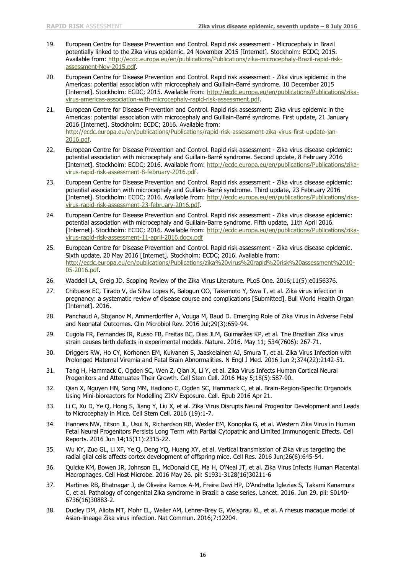- 19. European Centre for Disease Prevention and Control. Rapid risk assessment Microcephaly in Brazil potentially linked to the Zika virus epidemic. 24 November 2015 [Internet]. Stockholm: ECDC; 2015. Available from: [http://ecdc.europa.eu/en/publications/Publications/zika-microcephaly-Brazil-rapid-risk](http://ecdc.europa.eu/en/publications/Publications/zika-microcephaly-Brazil-rapid-risk-assessment-Nov-2015.pdf)[assessment-Nov-2015.pdf.](http://ecdc.europa.eu/en/publications/Publications/zika-microcephaly-Brazil-rapid-risk-assessment-Nov-2015.pdf)
- 20. European Centre for Disease Prevention and Control. Rapid risk assessment Zika virus epidemic in the Americas: potential association with microcephaly and Guillain-Barré syndrome. 10 December 2015 [Internet]. Stockholm: ECDC; 2015. Available from: [http://ecdc.europa.eu/en/publications/Publications/zika](http://ecdc.europa.eu/en/publications/Publications/zika-virus-americas-association-with-microcephaly-rapid-risk-assessment.pdf)[virus-americas-association-with-microcephaly-rapid-risk-assessment.pdf.](http://ecdc.europa.eu/en/publications/Publications/zika-virus-americas-association-with-microcephaly-rapid-risk-assessment.pdf)
- 21. European Centre for Disease Prevention and Control. Rapid risk assessment: Zika virus epidemic in the Americas: potential association with microcephaly and Guillain-Barré syndrome. First update, 21 January 2016 [Internet]. Stockholm: ECDC; 2016. Available from: [http://ecdc.europa.eu/en/publications/Publications/rapid-risk-assessment-zika-virus-first-update-jan-](http://ecdc.europa.eu/en/publications/Publications/rapid-risk-assessment-zika-virus-first-update-jan-2016.pdf)[2016.pdf.](http://ecdc.europa.eu/en/publications/Publications/rapid-risk-assessment-zika-virus-first-update-jan-2016.pdf)
- 22. European Centre for Disease Prevention and Control. Rapid risk assessment Zika virus disease epidemic: potential association with microcephaly and Guillain-Barré syndrome. Second update, 8 February 2016 [Internet]. Stockholm: ECDC; 2016. Available from: [http://ecdc.europa.eu/en/publications/Publications/zika](http://ecdc.europa.eu/en/publications/Publications/zika-virus-rapid-risk-assessment-8-february-2016.pdf)[virus-rapid-risk-assessment-8-february-2016.pdf.](http://ecdc.europa.eu/en/publications/Publications/zika-virus-rapid-risk-assessment-8-february-2016.pdf)
- 23. European Centre for Disease Prevention and Control. Rapid risk assessment Zika virus disease epidemic: potential association with microcephaly and Guillain-Barré syndrome. Third update, 23 February 2016 [Internet]. Stockholm: ECDC; 2016. Available from: [http://ecdc.europa.eu/en/publications/Publications/zika](http://ecdc.europa.eu/en/publications/Publications/zika-virus-rapid-risk-assessment-23-february-2016.pdf)[virus-rapid-risk-assessment-23-february-2016.pdf.](http://ecdc.europa.eu/en/publications/Publications/zika-virus-rapid-risk-assessment-23-february-2016.pdf)
- 24. European Centre for Disease Prevention and Control. Rapid risk assessment Zika virus disease epidemic: potential association with microcephaly and Guillain-Barre syndrome. Fifth update, 11th April 2016. [Internet]. Stockholm: ECDC; 2016. Available from: [http://ecdc.europa.eu/en/publications/Publications/zika](http://ecdc.europa.eu/en/publications/Publications/zika-virus-rapid-risk-assessment-11-april-2016.docx.pdf)[virus-rapid-risk-assessment-11-april-2016.docx.pdf](http://ecdc.europa.eu/en/publications/Publications/zika-virus-rapid-risk-assessment-11-april-2016.docx.pdf)
- 25. European Centre for Disease Prevention and Control. Rapid risk assessment Zika virus disease epidemic. Sixth update, 20 May 2016 [Internet]. Stockholm: ECDC; 2016. Available from: [http://ecdc.europa.eu/en/publications/Publications/zika%20virus%20rapid%20risk%20assessment%2010-](http://ecdc.europa.eu/en/publications/Publications/zika%20virus%20rapid%20risk%20assessment%2010-05-2016.pdf) [05-2016.pdf.](http://ecdc.europa.eu/en/publications/Publications/zika%20virus%20rapid%20risk%20assessment%2010-05-2016.pdf)
- 26. Waddell LA, Greig JD. Scoping Review of the Zika Virus Literature. PLoS One. 2016;11(5):e0156376.
- 27. Chibueze EC, Tirado V, da Silva Lopes K, Balogun OO, Takemoto Y, Swa T, et al. Zika virus infection in pregnancy: a systematic review of disease course and complications [Submitted]. Bull World Health Organ [Internet]. 2016.
- 28. Panchaud A, Stojanov M, Ammerdorffer A, Vouga M, Baud D. Emerging Role of Zika Virus in Adverse Fetal and Neonatal Outcomes. Clin Microbiol Rev. 2016 Jul;29(3):659-94.
- 29. Cugola FR, Fernandes IR, Russo FB, Freitas BC, Dias JLM, Guimarães KP, et al. The Brazilian Zika virus strain causes birth defects in experimental models. Nature. 2016. May 11; 534(7606): 267-71.
- 30. Driggers RW, Ho CY, Korhonen EM, Kuivanen S, Jaaskelainen AJ, Smura T, et al. Zika Virus Infection with Prolonged Maternal Viremia and Fetal Brain Abnormalities. N Engl J Med. 2016 Jun 2;374(22):2142-51.
- 31. Tang H, Hammack C, Ogden SC, Wen Z, Qian X, Li Y, et al. Zika Virus Infects Human Cortical Neural Progenitors and Attenuates Their Growth. Cell Stem Cell. 2016 May 5;18(5):587-90.
- 32. Qian X, Nguyen HN, Song MM, Hadiono C, Ogden SC, Hammack C, et al. Brain-Region-Specific Organoids Using Mini-bioreactors for Modelling ZIKV Exposure. Cell. Epub 2016 Apr 21.
- 33. Li C, Xu D, Ye Q, Hong S, Jiang Y, Liu X, et al. Zika Virus Disrupts Neural Progenitor Development and Leads to Microcephaly in Mice. Cell Stem Cell. 2016 (19):1-7.
- 34. Hanners NW, Eitson JL, Usui N, Richardson RB, Wexler EM, Konopka G, et al. Western Zika Virus in Human Fetal Neural Progenitors Persists Long Term with Partial Cytopathic and Limited Immunogenic Effects. Cell Reports. 2016 Jun 14;15(11):2315-22.
- 35. Wu KY, Zuo GL, Li XF, Ye Q, Deng YQ, Huang XY, et al. Vertical transmission of Zika virus targeting the radial glial cells affects cortex development of offspring mice. Cell Res. 2016 Jun;26(6):645-54.
- 36. Quicke KM, Bowen JR, Johnson EL, McDonald CE, Ma H, O'Neal JT, et al. Zika Virus Infects Human Placental Macrophages. Cell Host Microbe. 2016 May 26. pii: S1931-3128(16)30211-6
- 37. Martines RB, Bhatnagar J, de Oliveira Ramos A-M, Freire Davi HP, D'Andretta Iglezias S, Takami Kanamura C, et al. Pathology of congenital Zika syndrome in Brazil: a case series. Lancet. 2016. Jun 29. pii: S0140- 6736(16)30883-2.
- 38. Dudley DM, Aliota MT, Mohr EL, Weiler AM, Lehrer-Brey G, Weisgrau KL, et al. A rhesus macaque model of Asian-lineage Zika virus infection. Nat Commun. 2016;7:12204.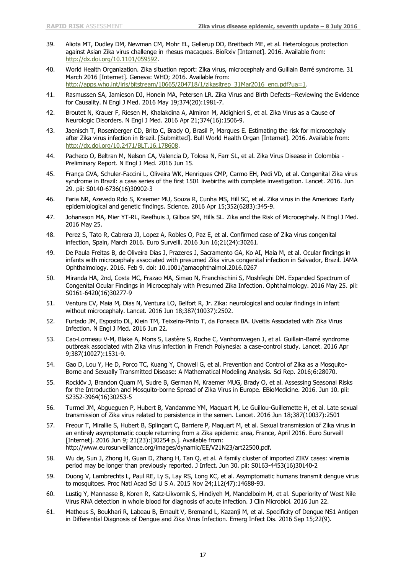- 39. Aliota MT, Dudley DM, Newman CM, Mohr EL, Gellerup DD, Breitbach ME, et al. Heterologous protection against Asian Zika virus challenge in rhesus macaques. BioRxiv [Internet]. 2016. Available from: [http://dx.doi.org/10.1101/059592.](http://dx.doi.org/10.1101/059592)
- 40. World Health Organization. Zika situation report: Zika virus, microcephaly and Guillain Barré syndrome. 31 March 2016 [Internet]. Geneva: WHO; 2016. Available from: [http://apps.who.int/iris/bitstream/10665/204718/1/zikasitrep\\_31Mar2016\\_eng.pdf?ua=1.](http://apps.who.int/iris/bitstream/10665/204718/1/zikasitrep_31Mar2016_eng.pdf?ua=1)
- 41. Rasmussen SA, Jamieson DJ, Honein MA, Petersen LR. Zika Virus and Birth Defects--Reviewing the Evidence for Causality. N Engl J Med. 2016 May 19;374(20):1981-7.
- 42. Broutet N, Krauer F, Riesen M, Khalakdina A, Almiron M, Aldighieri S, et al. Zika Virus as a Cause of Neurologic Disorders. N Engl J Med. 2016 Apr 21;374(16):1506-9.
- 43. Jaenisch T, Rosenberger CD, Brito C, Brady O, Brasil P, Marques E. Estimating the risk for microcephaly after Zika virus infection in Brazil. [Submitted]. Bull World Health Organ [Internet]. 2016. Available from: [http://dx.doi.org/10.2471/BLT.16.178608.](http://dx.doi.org/10.2471/BLT.16.178608)
- 44. Pacheco O, Beltran M, Nelson CA, Valencia D, Tolosa N, Farr SL, et al. Zika Virus Disease in Colombia Preliminary Report. N Engl J Med. 2016 Jun 15.
- 45. França GVA, Schuler-Faccini L, Oliveira WK, Henriques CMP, Carmo EH, Pedi VD, et al. Congenital Zika virus syndrome in Brazil: a case series of the first 1501 livebirths with complete investigation. Lancet. 2016. Jun 29. pii: S0140-6736(16)30902-3
- 46. Faria NR, Azevedo Rdo S, Kraemer MU, Souza R, Cunha MS, Hill SC, et al. Zika virus in the Americas: Early epidemiological and genetic findings. Science. 2016 Apr 15;352(6283):345-9.
- 47. Johansson MA, Mier YT-RL, Reefhuis J, Gilboa SM, Hills SL. Zika and the Risk of Microcephaly. N Engl J Med. 2016 May 25.
- 48. Perez S, Tato R, Cabrera JJ, Lopez A, Robles O, Paz E, et al. Confirmed case of Zika virus congenital infection, Spain, March 2016. Euro Surveill. 2016 Jun 16;21(24):30261.
- 49. De Paula Freitas B, de Oliveira Dias J, Prazeres J, Sacramento GA, Ko AI, Maia M, et al. Ocular findings in infants with microcephaly associated with presumed Zika virus congenital infection in Salvador, Brazil. JAMA Ophthalmology. 2016. Feb 9. doi: 10.1001/jamaophthalmol.2016.0267
- 50. Miranda HA, 2nd, Costa MC, Frazao MA, Simao N, Franchischini S, Moshfeghi DM. Expanded Spectrum of Congenital Ocular Findings in Microcephaly with Presumed Zika Infection. Ophthalmology. 2016 May 25. pii: S0161-6420(16)30277-9
- 51. Ventura CV, Maia M, Dias N, Ventura LO, Belfort R, Jr. Zika: neurological and ocular findings in infant without microcephaly. Lancet. 2016 Jun 18;387(10037):2502.
- 52. Furtado JM, Esposito DL, Klein TM, Teixeira-Pinto T, da Fonseca BA. Uveitis Associated with Zika Virus Infection. N Engl J Med. 2016 Jun 22.
- 53. Cao-Lormeau V-M, Blake A, Mons S, Lastère S, Roche C, Vanhomwegen J, et al. Guillain-Barré syndrome outbreak associated with Zika virus infection in French Polynesia: a case-control study. Lancet. 2016 Apr 9;387(10027):1531-9.
- 54. Gao D, Lou Y, He D, Porco TC, Kuang Y, Chowell G, et al. Prevention and Control of Zika as a Mosquito-Borne and Sexually Transmitted Disease: A Mathematical Modeling Analysis. Sci Rep. 2016;6:28070.
- 55. Rocklöv J, Brandon Quam M, Sudre B, German M, Kraemer MUG, Brady O, et al. Assessing Seasonal Risks for the Introduction and Mosquito-borne Spread of Zika Virus in Europe. EBioMedicine. 2016. Jun 10. pii: S2352-3964(16)30253-5
- 56. Turmel JM, Abgueguen P, Hubert B, Vandamme YM, Maquart M, Le Guillou-Guillemette H, et al. Late sexual transmission of Zika virus related to persistence in the semen. Lancet. 2016 Jun 18;387(10037):2501
- 57. Freour T, Mirallie S, Hubert B, Splingart C, Barriere P, Maquart M, et al. Sexual transmission of Zika virus in an entirely asymptomatic couple returning from a Zika epidemic area, France, April 2016. Euro Surveill [Internet]. 2016 Jun 9; 21(23):[30254 p.]. Available from: http://www.eurosurveillance.org/images/dynamic/EE/V21N23/art22500.pdf.
- 58. Wu de, Sun J, Zhong H, Guan D, Zhang H, Tan Q, et al. A family cluster of imported ZIKV cases: viremia period may be longer than previously reported. J Infect. Jun 30. pii: S0163-4453(16)30140-2
- 59. Duong V, Lambrechts L, Paul RE, Ly S, Lay RS, Long KC, et al. Asymptomatic humans transmit dengue virus to mosquitoes. Proc Natl Acad Sci U S A. 2015 Nov 24;112(47):14688-93.
- 60. Lustig Y, Mannasse B, Koren R, Katz-Likvornik S, Hindiyeh M, Mandelboim M, et al. Superiority of West Nile Virus RNA detection in whole blood for diagnosis of acute infection. J Clin Microbiol. 2016 Jun 22.
- 61. Matheus S, Boukhari R, Labeau B, Ernault V, Bremand L, Kazanji M, et al. Specificity of Dengue NS1 Antigen in Differential Diagnosis of Dengue and Zika Virus Infection. Emerg Infect Dis. 2016 Sep 15;22(9).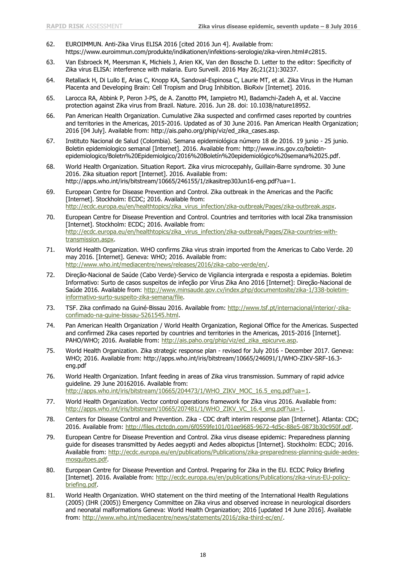- 62. EUROIMMUN. Anti-Zika Virus ELISA 2016 [cited 2016 Jun 4]. Available from: https://www.euroimmun.com/produkte/indikationen/infektions-serologie/zika-viren.html#c2815.
- 63. Van Esbroeck M, Meersman K, Michiels J, Arien KK, Van den Bossche D. Letter to the editor: Specificity of Zika virus ELISA: interference with malaria. Euro Surveill. 2016 May 26;21(21):30237.
- 64. Retallack H, Di Lullo E, Arias C, Knopp KA, Sandoval-Espinosa C, Laurie MT, et al. Zika Virus in the Human Placenta and Developing Brain: Cell Tropism and Drug Inhibition. BioRxiv [Internet]. 2016.
- 65. Larocca RA, Abbink P, Peron J-PS, de A. Zanotto PM, Iampietro MJ, Badamchi-Zadeh A, et al. Vaccine protection against Zika virus from Brazil. Nature. 2016. Jun 28. doi: 10.1038/nature18952.
- 66. Pan American Health Organization. Cumulative Zika suspected and confirmed cases reported by countries and territories in the Americas, 2015-2016. Updated as of 30 June 2016. Pan American Health Organization; 2016 [04 July]. Available from: http://ais.paho.org/phip/viz/ed\_zika\_cases.asp.
- 67. Instituto Nacional de Salud (Colombia). Semana epidemiológica número 18 de 2016. 19 junio 25 junio. Boletin epidemiologico semanal [Internet]. 2016. Available from: http://www.ins.gov.co/boletinepidemiologico/Boletn%20Epidemiolgico/2016%20Boletín%20epidemiológico%20semana%2025.pdf.
- 68. World Health Organization. Situation Report. Zika virus microcepahly, Guillain-Barre syndrome. 30 June 2016. Zika situation report [Internet]. 2016. Available from: http://apps.who.int/iris/bitstream/10665/246155/1/zikasitrep30Jun16-eng.pdf?ua=1.
- 69. European Centre for Disease Prevention and Control. Zika outbreak in the Americas and the Pacific [Internet]. Stockholm: ECDC; 2016. Available from: [http://ecdc.europa.eu/en/healthtopics/zika\\_virus\\_infection/zika-outbreak/Pages/zika-outbreak.aspx.](http://ecdc.europa.eu/en/healthtopics/zika_virus_infection/zika-outbreak/Pages/zika-outbreak.aspx)
- 70. European Centre for Disease Prevention and Control. Countries and territories with local Zika transmission [Internet]. Stockholm: ECDC; 2016. Available from: [http://ecdc.europa.eu/en/healthtopics/zika\\_virus\\_infection/zika-outbreak/Pages/Zika-countries-with](http://ecdc.europa.eu/en/healthtopics/zika_virus_infection/zika-outbreak/Pages/Zika-countries-with-transmission.aspx)[transmission.aspx.](http://ecdc.europa.eu/en/healthtopics/zika_virus_infection/zika-outbreak/Pages/Zika-countries-with-transmission.aspx)
- 71. World Health Organization. WHO confirms Zika virus strain imported from the Americas to Cabo Verde. 20 may 2016. [Internet]. Geneva: WHO; 2016. Available from: [http://www.who.int/mediacentre/news/releases/2016/zika-cabo-verde/en/.](http://www.who.int/mediacentre/news/releases/2016/zika-cabo-verde/en/)
- 72. Direção-Nacional de Saúde (Cabo Verde)-Servico de Vigilancia intergrada e resposta a epidemias. Boletim Informativo: Surto de casos suspeitos de infeção por Vírus Zika Ano 2016 [Internet]: Direção-Nacional de Saúde 2016. Available from: [http://www.minsaude.gov.cv/index.php/documentosite/zika-1/338-boletim](http://www.minsaude.gov.cv/index.php/documentosite/zika-1/338-boletim-informativo-surto-suspeito-zika-semana/file)[informativo-surto-suspeito-zika-semana/file.](http://www.minsaude.gov.cv/index.php/documentosite/zika-1/338-boletim-informativo-surto-suspeito-zika-semana/file)
- 73. TSF. Zika confimado na Guiné-Bissau 2016. Available from: [http://www.tsf.pt/internacional/interior/-zika](http://www.tsf.pt/internacional/interior/-zika-confimado-na-guine-bissau-5261545.html)[confimado-na-guine-bissau-5261545.html.](http://www.tsf.pt/internacional/interior/-zika-confimado-na-guine-bissau-5261545.html)
- 74. Pan American Health Organization / World Health Organization, Regional Office for the Americas. Suspected and confirmed Zika cases reported by countries and territories in the Americas, 2015-2016 [Internet]. PAHO/WHO; 2016. Available from: [http://ais.paho.org/phip/viz/ed\\_zika\\_epicurve.asp.](http://ais.paho.org/phip/viz/ed_zika_epicurve.asp)
- 75. World Health Organization. Zika strategic response plan revised for July 2016 December 2017. Geneva: WHO; 2016. Available from: http://apps.who.int/iris/bitstream/10665/246091/1/WHO-ZIKV-SRF-16.3 eng.pdf
- 76. World Health Organization. Infant feeding in areas of Zika virus transmission. Summary of rapid advice guideline. 29 June 20162016. Available from: [http://apps.who.int/iris/bitstream/10665/204473/1/WHO\\_ZIKV\\_MOC\\_16.5\\_eng.pdf?ua=1.](http://apps.who.int/iris/bitstream/10665/204473/1/WHO_ZIKV_MOC_16.5_eng.pdf?ua=1)
- 77. World Health Organization. Vector control operations framework for Zika virus 2016. Available from: [http://apps.who.int/iris/bitstream/10665/207481/1/WHO\\_ZIKV\\_VC\\_16.4\\_eng.pdf?ua=1.](http://apps.who.int/iris/bitstream/10665/207481/1/WHO_ZIKV_VC_16.4_eng.pdf?ua=1)
- 78. Centers for Disease Control and Prevention. Zika CDC draft interim response plan [Internet]. Atlanta: CDC; 2016. Available from: [http://files.ctctcdn.com/6f0559fe101/01ee9685-9672-4d5c-88e5-0873b30c950f.pdf.](http://files.ctctcdn.com/6f0559fe101/01ee9685-9672-4d5c-88e5-0873b30c950f.pdf)
- 79. European Centre for Disease Prevention and Control. Zika virus disease epidemic: Preparedness planning guide for diseases transmitted by Aedes aegypti and Aedes albopictus [Internet]. Stockholm: ECDC; 2016. Available from: [http://ecdc.europa.eu/en/publications/Publications/zika-preparedness-planning-guide-aedes](http://ecdc.europa.eu/en/publications/Publications/zika-preparedness-planning-guide-aedes-mosquitoes.pdf)[mosquitoes.pdf.](http://ecdc.europa.eu/en/publications/Publications/zika-preparedness-planning-guide-aedes-mosquitoes.pdf)
- 80. European Centre for Disease Prevention and Control. Preparing for Zika in the EU. ECDC Policy Briefing [Internet]. 2016. Available from: [http://ecdc.europa.eu/en/publications/Publications/zika-virus-EU-policy](http://ecdc.europa.eu/en/publications/Publications/zika-virus-EU-policy-briefing.pdf)[briefing.pdf.](http://ecdc.europa.eu/en/publications/Publications/zika-virus-EU-policy-briefing.pdf)
- 81. World Health Organization. WHO statement on the third meeting of the International Health Regulations (2005) (IHR (2005)) Emergency Committee on Zika virus and observed increase in neurological disorders and neonatal malformations Geneva: World Health Organization; 2016 [updated 14 June 2016]. Available from: [http://www.who.int/mediacentre/news/statements/2016/zika-third-ec/en/.](http://www.who.int/mediacentre/news/statements/2016/zika-third-ec/en/)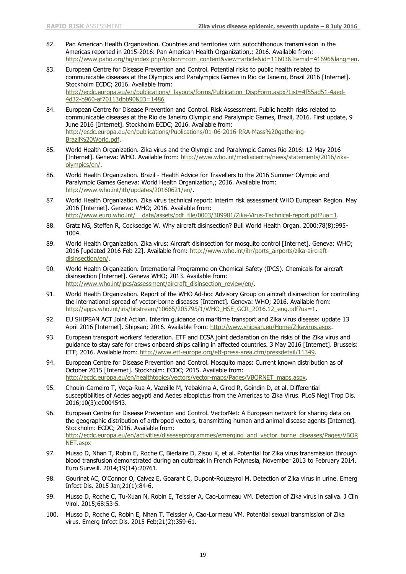- 82. Pan American Health Organization. Countries and territories with autochthonous transmission in the Americas reported in 2015-2016: Pan American Health Organization,; 2016. Available from: [http://www.paho.org/hq/index.php?option=com\\_content&view=article&id=11603&Itemid=41696&lang=en.](http://www.paho.org/hq/index.php?option=com_content&view=article&id=11603&Itemid=41696&lang=en)
- 83. European Centre for Disease Prevention and Control. Potential risks to public health related to communicable diseases at the Olympics and Paralympics Games in Rio de Janeiro, Brazil 2016 [Internet]. Stockholm ECDC; 2016. Available from: [http://ecdc.europa.eu/en/publications/\\_layouts/forms/Publication\\_DispForm.aspx?List=4f55ad51-4aed-](http://ecdc.europa.eu/en/publications/_layouts/forms/Publication_DispForm.aspx?List=4f55ad51-4aed-4d32-b960-af70113dbb90&ID=1486)[4d32-b960-af70113dbb90&ID=1486](http://ecdc.europa.eu/en/publications/_layouts/forms/Publication_DispForm.aspx?List=4f55ad51-4aed-4d32-b960-af70113dbb90&ID=1486)
- 84. European Centre for Disease Prevention and Control. Risk Assessment. Public health risks related to communicable diseases at the Rio de Janeiro Olympic and Paralympic Games, Brazil, 2016. First update, 9 June 2016 [Internet]. Stockholm ECDC; 2016. Available from: [http://ecdc.europa.eu/en/publications/Publications/01-06-2016-RRA-Mass%20gathering-](http://ecdc.europa.eu/en/publications/Publications/01-06-2016-RRA-Mass%20gathering-Brazil%20World.pdf)[Brazil%20World.pdf.](http://ecdc.europa.eu/en/publications/Publications/01-06-2016-RRA-Mass%20gathering-Brazil%20World.pdf)
- 85. World Health Organization. Zika virus and the Olympic and Paralympic Games Rio 2016: 12 May 2016 [Internet]. Geneva: WHO. Available from: [http://www.who.int/mediacentre/news/statements/2016/zika](http://www.who.int/mediacentre/news/statements/2016/zika-olympics/en/)[olympics/en/.](http://www.who.int/mediacentre/news/statements/2016/zika-olympics/en/)
- 86. World Health Organization. Brazil Health Advice for Travellers to the 2016 Summer Olympic and Paralympic Games Geneva: World Health Organization,; 2016. Available from: [http://www.who.int/ith/updates/20160621/en/.](http://www.who.int/ith/updates/20160621/en/)
- 87. World Health Organization. Zika virus technical report: interim risk assessment WHO European Region. May 2016 [Internet]. Geneva: WHO; 2016. Available from: http://www.euro.who.int/ data/assets/pdf file/0003/309981/Zika-Virus-Technical-report.pdf?ua=1.
- 88. Gratz NG, Steffen R, Cocksedge W. Why aircraft disinsection? Bull World Health Organ. 2000;78(8):995- 1004.
- 89. World Health Organization. Zika virus: Aircraft disinsection for mosquito control [Internet]. Geneva: WHO; 2016 [updated 2016 Feb 22]. Available from: [http://www.who.int/ihr/ports\\_airports/zika-aircraft](http://www.who.int/ihr/ports_airports/zika-aircraft-disinsection/en/)[disinsection/en/.](http://www.who.int/ihr/ports_airports/zika-aircraft-disinsection/en/)
- 90. World Health Organization. International Programme on Chemical Safety (IPCS). Chemicals for aircraft disinsection [Internet]. Geneva WHO; 2013. Available from: [http://www.who.int/ipcs/assessment/aircraft\\_disinsection\\_review/en/.](http://www.who.int/ipcs/assessment/aircraft_disinsection_review/en/)
- 91. World Health Organization. Report of the WHO Ad-hoc Advisory Group on aircraft disinsection for controlling the international spread of vector-borne diseases [Internet]. Geneva: WHO; 2016. Available from: [http://apps.who.int/iris/bitstream/10665/205795/1/WHO\\_HSE\\_GCR\\_2016.12\\_eng.pdf?ua=1.](http://apps.who.int/iris/bitstream/10665/205795/1/WHO_HSE_GCR_2016.12_eng.pdf?ua=1)
- 92. EU SHIPSAN ACT Joint Action. Interim guidance on maritime transport and Zika virus disease: update 13 April 2016 [Internet]. Shipsan; 2016. Available from: [http://www.shipsan.eu/Home/Zikavirus.aspx.](http://www.shipsan.eu/Home/Zikavirus.aspx)
- 93. European transport workers' federation. ETF and ECSA joint declaration on the risks of the Zika virus and guidance to stay safe for crews onboard ships calling in affected countries. 3 May 2016 [Internet]. Brussels: ETF; 2016. Available from: [http://www.etf-europe.org/etf-press-area.cfm/pressdetail/11349.](http://www.etf-europe.org/etf-press-area.cfm/pressdetail/11349)
- 94. European Centre for Disease Prevention and Control. Mosquito maps: Current known distribution as of October 2015 [Internet]. Stockholm: ECDC; 2015. Available from: [http://ecdc.europa.eu/en/healthtopics/vectors/vector-maps/Pages/VBORNET\\_maps.aspx.](http://ecdc.europa.eu/en/healthtopics/vectors/vector-maps/Pages/VBORNET_maps.aspx)
- 95. Chouin-Carneiro T, Vega-Rua A, Vazeille M, Yebakima A, Girod R, Goindin D, et al. Differential susceptibilities of Aedes aegypti and Aedes albopictus from the Americas to Zika Virus. PLoS Negl Trop Dis. 2016;10(3):e0004543.
- 96. European Centre for Disease Prevention and Control. VectorNet: A European network for sharing data on the geographic distribution of arthropod vectors, transmitting human and animal disease agents [Internet]. Stockholm: ECDC; 2016. Available from: [http://ecdc.europa.eu/en/activities/diseaseprogrammes/emerging\\_and\\_vector\\_borne\\_diseases/Pages/VBOR](http://ecdc.europa.eu/en/activities/diseaseprogrammes/emerging_and_vector_borne_diseases/Pages/VBORNET.aspx) [NET.aspx](http://ecdc.europa.eu/en/activities/diseaseprogrammes/emerging_and_vector_borne_diseases/Pages/VBORNET.aspx)
- 97. Musso D, Nhan T, Robin E, Roche C, Bierlaire D, Zisou K, et al. Potential for Zika virus transmission through blood transfusion demonstrated during an outbreak in French Polynesia, November 2013 to February 2014. Euro Surveill. 2014;19(14):20761.
- 98. Gourinat AC, O'Connor O, Calvez E, Goarant C, Dupont-Rouzeyrol M. Detection of Zika virus in urine. Emerg Infect Dis. 2015 Jan;21(1):84-6.
- 99. Musso D, Roche C, Tu-Xuan N, Robin E, Teissier A, Cao-Lormeau VM. Detection of Zika virus in saliva. J Clin Virol. 2015;68:53-5.
- 100. Musso D, Roche C, Robin E, Nhan T, Teissier A, Cao-Lormeau VM. Potential sexual transmission of Zika virus. Emerg Infect Dis. 2015 Feb;21(2):359-61.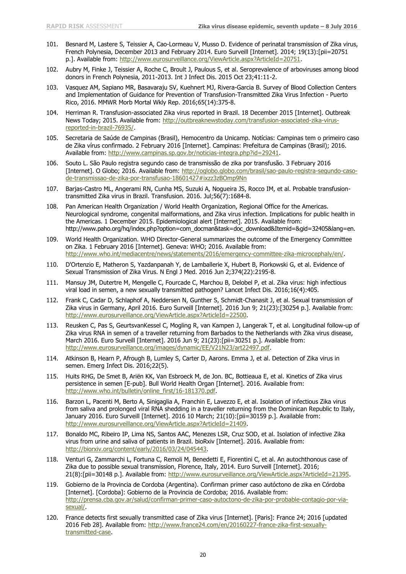- 101. Besnard M, Lastere S, Teissier A, Cao-Lormeau V, Musso D. Evidence of perinatal transmission of Zika virus, French Polynesia, December 2013 and February 2014. Euro Surveill [Internet]. 2014; 19(13):[pii=20751 p.]. Available from: [http://www.eurosurveillance.org/ViewArticle.aspx?ArticleId=20751.](http://www.eurosurveillance.org/ViewArticle.aspx?ArticleId=20751)
- 102. Aubry M, Finke J, Teissier A, Roche C, Broult J, Paulous S, et al. Seroprevalence of arboviruses among blood donors in French Polynesia, 2011-2013. Int J Infect Dis. 2015 Oct 23;41:11-2.
- 103. Vasquez AM, Sapiano MR, Basavaraju SV, Kuehnert MJ, Rivera-Garcia B. Survey of Blood Collection Centers and Implementation of Guidance for Prevention of Transfusion-Transmitted Zika Virus Infection - Puerto Rico, 2016. MMWR Morb Mortal Wkly Rep. 2016;65(14):375-8.
- 104. Herriman R. Transfusion-associated Zika virus reported in Brazil. 18 December 2015 [Internet]. Outbreak News Today; 2015. Available from: [http://outbreaknewstoday.com/transfusion-associated-zika-virus](http://outbreaknewstoday.com/transfusion-associated-zika-virus-reported-in-brazil-76935/)[reported-in-brazil-76935/.](http://outbreaknewstoday.com/transfusion-associated-zika-virus-reported-in-brazil-76935/)
- 105. Secretaria de Saúde de Campinas (Brasil), Hemocentro da Unicamp. Notícias: Campinas tem o primeiro caso de Zika vírus confirmado. 2 February 2016 [Internet]. Campinas: Prefeitura de Campinas (Brasil); 2016. Available from: [http://www.campinas.sp.gov.br/noticias-integra.php?id=29241.](http://www.campinas.sp.gov.br/noticias-integra.php?id=29241)
- 106. Souto L. São Paulo registra segundo caso de transmissão de zika por transfusão. 3 February 2016 [Internet]. O Globo; 2016. Available from: [http://oglobo.globo.com/brasil/sao-paulo-registra-segundo-caso](http://oglobo.globo.com/brasil/sao-paulo-registra-segundo-caso-de-transmissao-de-zika-por-transfusao-18601427#ixzz3zBOmp9Nn)[de-transmissao-de-zika-por-transfusao-18601427#ixzz3zBOmp9Nn](http://oglobo.globo.com/brasil/sao-paulo-registra-segundo-caso-de-transmissao-de-zika-por-transfusao-18601427#ixzz3zBOmp9Nn)
- 107. Barjas-Castro ML, Angerami RN, Cunha MS, Suzuki A, Nogueira JS, Rocco IM, et al. Probable transfusiontransmitted Zika virus in Brazil. Transfusion. 2016. Jul;56(7):1684-8.
- 108. Pan American Health Organization / World Health Organization, Regional Office for the Americas. Neurological syndrome, congenital malformations, and Zika virus infection. Implications for public health in the Americas. 1 December 2015. Epidemiological alert [Internet]. 2015. Available from: http://www.paho.org/hq/index.php?option=com\_docman&task=doc\_download&Itemid=&gid=32405&lang=en.
- 109. World Health Organization. WHO Director-General summarizes the outcome of the Emergency Committee on Zika. 1 February 2016 [Internet]. Geneva: WHO; 2016. Available from: [http://www.who.int/mediacentre/news/statements/2016/emergency-committee-zika-microcephaly/en/.](http://www.who.int/mediacentre/news/statements/2016/emergency-committee-zika-microcephaly/en/)
- 110. D'Ortenzio E, Matheron S, Yazdanpanah Y, de Lamballerie X, Hubert B, Piorkowski G, et al. Evidence of Sexual Transmission of Zika Virus. N Engl J Med. 2016 Jun 2;374(22):2195-8.
- 111. Mansuy JM, Dutertre M, Mengelle C, Fourcade C, Marchou B, Delobel P, et al. Zika virus: high infectious viral load in semen, a new sexually transmitted pathogen? Lancet Infect Dis. 2016;16(4):405.
- 112. Frank C, Cadar D, Schlaphof A, Neddersen N, Gunther S, Schmidt-Chanasit J, et al. Sexual transmission of Zika virus in Germany, April 2016. Euro Surveill [Internet]. 2016 Jun 9; 21(23):[30254 p.]. Available from: [http://www.eurosurveillance.org/ViewArticle.aspx?ArticleId=22500.](http://www.eurosurveillance.org/ViewArticle.aspx?ArticleId=22500)
- 113. Reusken C, Pas S, GeurtsvanKessel C, Mogling R, van Kampen J, Langerak T, et al. Longitudinal follow-up of Zika virus RNA in semen of a traveller returning from Barbados to the Netherlands with Zika virus disease, March 2016. Euro Surveill [Internet]. 2016 Jun 9; 21(23): [pii=30251 p.]. Available from: [http://www.eurosurveillance.org/images/dynamic/EE/V21N23/art22497.pdf.](http://www.eurosurveillance.org/images/dynamic/EE/V21N23/art22497.pdf)
- 114. Atkinson B, Hearn P, Afrough B, Lumley S, Carter D, Aarons. Emma J, et al. Detection of Zika virus in semen. Emerg Infect Dis. 2016;22(5).
- 115. Huits RHG, De Smet B, Ariën KK, Van Esbroeck M, de Jon. BC, Bottieaua E, et al. Kinetics of Zika virus persistence in semen [E-pub]. Bull World Health Organ [Internet]. 2016. Available from: [http://www.who.int/bulletin/online\\_first/16-181370.pdf.](http://www.who.int/bulletin/online_first/16-181370.pdf)
- 116. Barzon L, Pacenti M, Berto A, Sinigaglia A, Franchin E, Lavezzo E, et al. Isolation of infectious Zika virus from saliva and prolonged viral RNA shedding in a traveller returning from the Dominican Republic to Italy, January 2016. Euro Surveill [Internet]. 2016 10 March; 21(10): [pii=30159 p.]. Available from: [http://www.eurosurveillance.org/ViewArticle.aspx?ArticleId=21409.](http://www.eurosurveillance.org/ViewArticle.aspx?ArticleId=21409)
- 117. Bonaldo MC, Ribeiro IP, Lima NS, Santos AAC, Menezes LSR, Cruz SOD, et al. Isolation of infective Zika virus from urine and saliva of patients in Brazil. bioRxiv [Internet]. 2016. Available from: [http://biorxiv.org/content/early/2016/03/24/045443.](http://biorxiv.org/content/early/2016/03/24/045443)
- 118. Venturi G, Zammarchi L, Fortuna C, Remoli M, Benedetti E, Fiorentini C, et al. An autochthonous case of Zika due to possible sexual transmission, Florence, Italy, 2014. Euro Surveill [Internet]. 2016; 21(8):[pii=30148 p.]. Available from: [http://www.eurosurveillance.org/ViewArticle.aspx?ArticleId=21395.](http://www.eurosurveillance.org/ViewArticle.aspx?ArticleId=21395)
- 119. Gobierno de la Provincia de Cordoba (Argentina). Confirman primer caso autóctono de zika en Córdoba [Internet]. [Cordoba]: Gobierno de la Provincia de Cordoba; 2016. Available from: [http://prensa.cba.gov.ar/salud/confirman-primer-caso-autoctono-de-zika-por-probable-contagio-por-via](http://prensa.cba.gov.ar/salud/confirman-primer-caso-autoctono-de-zika-por-probable-contagio-por-via-sexual/)[sexual/.](http://prensa.cba.gov.ar/salud/confirman-primer-caso-autoctono-de-zika-por-probable-contagio-por-via-sexual/)
- 120. France detects first sexually transmitted case of Zika virus [Internet]. [Paris]: France 24; 2016 [updated 2016 Feb 28]. Available from: [http://www.france24.com/en/20160227-france-zika-first-sexually](http://www.france24.com/en/20160227-france-zika-first-sexually-transmitted-case)[transmitted-case.](http://www.france24.com/en/20160227-france-zika-first-sexually-transmitted-case)